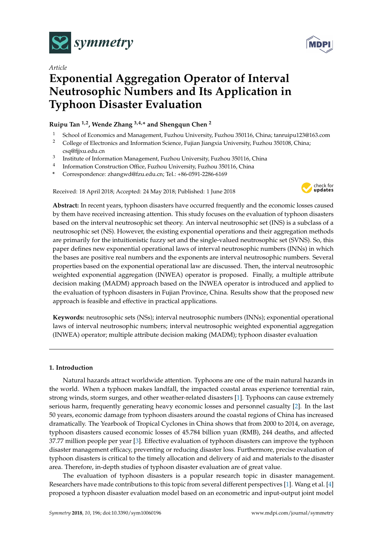

*Article*



# **Exponential Aggregation Operator of Interval Neutrosophic Numbers and Its Application in Typhoon Disaster Evaluation**

## **Ruipu Tan 1,2, Wende Zhang 3,4,\* and Shengqun Chen <sup>2</sup>**

- <sup>1</sup> School of Economics and Management, Fuzhou University, Fuzhou 350116, China; tanruipu123@163.com
- <sup>2</sup> College of Electronics and Information Science, Fujian Jiangxia University, Fuzhou 350108, China; csq@fjjxu.edu.cn
- 3 Institute of Information Management, Fuzhou University, Fuzhou 350116, China
- 4 Information Construction Office, Fuzhou University, Fuzhou 350116, China
- **\*** Correspondence: zhangwd@fzu.edu.cn; Tel.: +86-0591-2286-6169

Received: 18 April 2018; Accepted: 24 May 2018; Published: 1 June 2018



**Abstract:** In recent years, typhoon disasters have occurred frequently and the economic losses caused by them have received increasing attention. This study focuses on the evaluation of typhoon disasters based on the interval neutrosophic set theory. An interval neutrosophic set (INS) is a subclass of a neutrosophic set (NS). However, the existing exponential operations and their aggregation methods are primarily for the intuitionistic fuzzy set and the single-valued neutrosophic set (SVNS). So, this paper defines new exponential operational laws of interval neutrosophic numbers (INNs) in which the bases are positive real numbers and the exponents are interval neutrosophic numbers. Several properties based on the exponential operational law are discussed. Then, the interval neutrosophic weighted exponential aggregation (INWEA) operator is proposed. Finally, a multiple attribute decision making (MADM) approach based on the INWEA operator is introduced and applied to the evaluation of typhoon disasters in Fujian Province, China. Results show that the proposed new approach is feasible and effective in practical applications.

**Keywords:** neutrosophic sets (NSs); interval neutrosophic numbers (INNs); exponential operational laws of interval neutrosophic numbers; interval neutrosophic weighted exponential aggregation (INWEA) operator; multiple attribute decision making (MADM); typhoon disaster evaluation

### **1. Introduction**

Natural hazards attract worldwide attention. Typhoons are one of the main natural hazards in the world. When a typhoon makes landfall, the impacted coastal areas experience torrential rain, strong winds, storm surges, and other weather-related disasters [\[1\]](#page-19-0). Typhoons can cause extremely serious harm, frequently generating heavy economic losses and personnel casualty [\[2\]](#page-19-1). In the last 50 years, economic damage from typhoon disasters around the coastal regions of China has increased dramatically. The Yearbook of Tropical Cyclones in China shows that from 2000 to 2014, on average, typhoon disasters caused economic losses of 45.784 billion yuan (RMB), 244 deaths, and affected 37.77 million people per year [\[3\]](#page-19-2). Effective evaluation of typhoon disasters can improve the typhoon disaster management efficacy, preventing or reducing disaster loss. Furthermore, precise evaluation of typhoon disasters is critical to the timely allocation and delivery of aid and materials to the disaster area. Therefore, in-depth studies of typhoon disaster evaluation are of great value.

The evaluation of typhoon disasters is a popular research topic in disaster management. Researchers have made contributions to this topic from several different perspectives [\[1\]](#page-19-0). Wang et al. [\[4\]](#page-19-3) proposed a typhoon disaster evaluation model based on an econometric and input-output joint model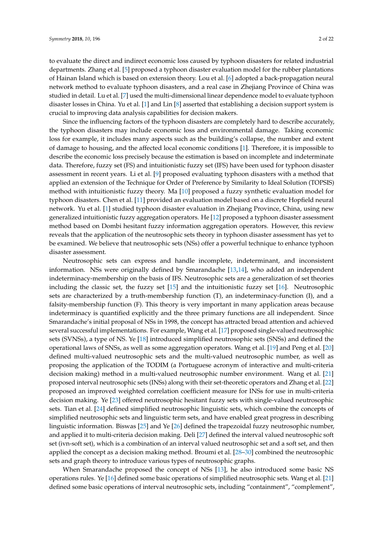to evaluate the direct and indirect economic loss caused by typhoon disasters for related industrial departments. Zhang et al. [\[5\]](#page-19-4) proposed a typhoon disaster evaluation model for the rubber plantations of Hainan Island which is based on extension theory. Lou et al. [\[6\]](#page-19-5) adopted a back-propagation neural network method to evaluate typhoon disasters, and a real case in Zhejiang Province of China was studied in detail. Lu et al. [\[7\]](#page-19-6) used the multi-dimensional linear dependence model to evaluate typhoon disaster losses in China. Yu et al. [\[1\]](#page-19-0) and Lin [\[8\]](#page-19-7) asserted that establishing a decision support system is crucial to improving data analysis capabilities for decision makers.

Since the influencing factors of the typhoon disasters are completely hard to describe accurately, the typhoon disasters may include economic loss and environmental damage. Taking economic loss for example, it includes many aspects such as the building's collapse, the number and extent of damage to housing, and the affected local economic conditions [\[1\]](#page-19-0). Therefore, it is impossible to describe the economic loss precisely because the estimation is based on incomplete and indeterminate data. Therefore, fuzzy set (FS) and intuitionistic fuzzy set (IFS) have been used for typhoon disaster assessment in recent years. Li et al. [\[9\]](#page-19-8) proposed evaluating typhoon disasters with a method that applied an extension of the Technique for Order of Preference by Similarity to Ideal Solution (TOPSIS) method with intuitionistic fuzzy theory. Ma [\[10\]](#page-19-9) proposed a fuzzy synthetic evaluation model for typhoon disasters. Chen et al. [\[11\]](#page-19-10) provided an evaluation model based on a discrete Hopfield neural network. Yu et al. [\[1\]](#page-19-0) studied typhoon disaster evaluation in Zhejiang Province, China, using new generalized intuitionistic fuzzy aggregation operators. He [\[12\]](#page-19-11) proposed a typhoon disaster assessment method based on Dombi hesitant fuzzy information aggregation operators. However, this review reveals that the application of the neutrosophic sets theory in typhoon disaster assessment has yet to be examined. We believe that neutrosophic sets (NSs) offer a powerful technique to enhance typhoon disaster assessment.

Neutrosophic sets can express and handle incomplete, indeterminant, and inconsistent information. NSs were originally defined by Smarandache [\[13](#page-19-12)[,14\]](#page-19-13), who added an independent indeterminacy-membership on the basis of IFS. Neutrosophic sets are a generalization of set theories including the classic set, the fuzzy set [\[15\]](#page-19-14) and the intuitionistic fuzzy set [\[16\]](#page-19-15). Neutrosophic sets are characterized by a truth-membership function (T), an indeterminacy-function (I), and a falsity-membership function (F). This theory is very important in many application areas because indeterminacy is quantified explicitly and the three primary functions are all independent. Since Smarandache's initial proposal of NSs in 1998, the concept has attracted broad attention and achieved several successful implementations. For example, Wang et al. [\[17\]](#page-19-16) proposed single-valued neutrosophic sets (SVNSs), a type of NS. Ye [\[18\]](#page-19-17) introduced simplified neutrosophic sets (SNSs) and defined the operational laws of SNSs, as well as some aggregation operators. Wang et al. [\[19\]](#page-20-0) and Peng et al. [\[20\]](#page-20-1) defined multi-valued neutrosophic sets and the multi-valued neutrosophic number, as well as proposing the application of the TODIM (a Portuguese acronym of interactive and multi-criteria decision making) method in a multi-valued neutrosophic number environment. Wang et al. [\[21\]](#page-20-2) proposed interval neutrosophic sets (INSs) along with their set-theoretic operators and Zhang et al. [\[22\]](#page-20-3) proposed an improved weighted correlation coefficient measure for INSs for use in multi-criteria decision making. Ye [\[23\]](#page-20-4) offered neutrosophic hesitant fuzzy sets with single-valued neutrosophic sets. Tian et al. [\[24\]](#page-20-5) defined simplified neutrosophic linguistic sets, which combine the concepts of simplified neutrosophic sets and linguistic term sets, and have enabled great progress in describing linguistic information. Biswas [\[25\]](#page-20-6) and Ye [\[26\]](#page-20-7) defined the trapezoidal fuzzy neutrosophic number, and applied it to multi-criteria decision making. Deli [\[27\]](#page-20-8) defined the interval valued neutrosophic soft set (ivn-soft set), which is a combination of an interval valued neutrosophic set and a soft set, and then applied the concept as a decision making method. Broumi et al. [\[28–](#page-20-9)[30\]](#page-20-10) combined the neutrosophic sets and graph theory to introduce various types of neutrosophic graphs.

When Smarandache proposed the concept of NSs [\[13\]](#page-19-12), he also introduced some basic NS operations rules. Ye [\[16\]](#page-19-15) defined some basic operations of simplified neutrosophic sets. Wang et al. [\[21\]](#page-20-2) defined some basic operations of interval neutrosophic sets, including "containment", "complement",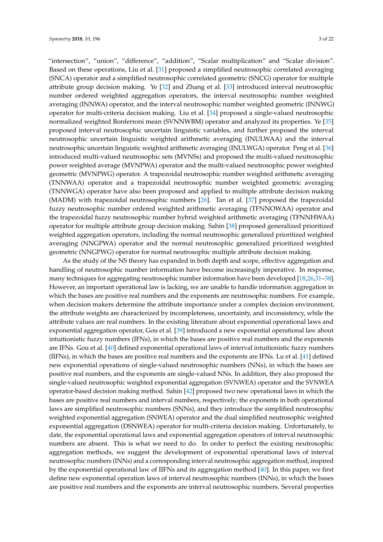"intersection", "union", "difference", "addition", "Scalar multiplication" and "Scalar division". Based on these operations, Liu et al. [\[31\]](#page-20-11) proposed a simplified neutrosophic correlated averaging (SNCA) operator and a simplified neutrosophic correlated geometric (SNCG) operator for multiple attribute group decision making. Ye [\[32\]](#page-20-12) and Zhang et al. [\[33\]](#page-20-13) introduced interval neutrosophic number ordered weighted aggregation operators, the interval neutrosophic number weighted averaging (INNWA) operator, and the interval neutrosophic number weighted geometric (INNWG) operator for multi-criteria decision making. Liu et al. [\[34\]](#page-20-14) proposed a single-valued neutrosophic normalized weighted Bonferroni mean (SVNNWBM) operator and analyzed its properties. Ye [\[35\]](#page-20-15) proposed interval neutrosophic uncertain linguistic variables, and further proposed the interval neutrosophic uncertain linguistic weighted arithmetic averaging (INULWAA) and the interval neutrosophic uncertain linguistic weighted arithmetic averaging (INULWGA) operator. Peng et al. [\[36\]](#page-20-16) introduced multi-valued neutrosophic sets (MVNSs) and proposed the multi-valued neutrosophic power weighted average (MVNPWA) operator and the multi-valued neutrosophic power weighted geometric (MVNPWG) operator. A trapezoidal neutrosophic number weighted arithmetic averaging (TNNWAA) operator and a trapezoidal neutrosophic number weighted geometric averaging (TNNWGA) operator have also been proposed and applied to multiple attribute decision making (MADM) with trapezoidal neutrosophic numbers [\[26\]](#page-20-7). Tan et al. [\[37\]](#page-20-17) proposed the trapezoidal fuzzy neutrosophic number ordered weighted arithmetic averaging (TFNNOWAA) operator and the trapezoidal fuzzy neutrosophic number hybrid weighted arithmetic averaging (TFNNHWAA) operator for multiple attribute group decision making. Sahin [\[38\]](#page-20-18) proposed generalized prioritized weighted aggregation operators, including the normal neutrosophic generalized prioritized weighted averaging (NNGPWA) operator and the normal neutrosophic generalized prioritized weighted geometric (NNGPWG) operator for normal neutrosophic multiple attribute decision making.

As the study of the NS theory has expanded in both depth and scope, effective aggregation and handling of neutrosophic number information have become increasingly imperative. In response, many techniques for aggregating neutrosophic number information have been developed [\[18,](#page-19-17)[26,](#page-20-7)[31–](#page-20-11)[38\]](#page-20-18). However, an important operational law is lacking, we are unable to handle information aggregation in which the bases are positive real numbers and the exponents are neutrosophic numbers. For example, when decision makers determine the attribute importance under a complex decision environment, the attribute weights are characterized by incompleteness, uncertainty, and inconsistency, while the attribute values are real numbers. In the existing literature about exponential operational laws and exponential aggregation operator, Gou et al. [\[39\]](#page-20-19) introduced a new exponential operational law about intuitionistic fuzzy numbers (IFNs), in which the bases are positive real numbers and the exponents are IFNs. Gou et al. [\[40\]](#page-20-20) defined exponential operational laws of interval intuitionistic fuzzy numbers (IIFNs), in which the bases are positive real numbers and the exponents are IFNs. Lu et al. [\[41\]](#page-20-21) defined new exponential operations of single-valued neutrosophic numbers (NNs), in which the bases are positive real numbers, and the exponents are single-valued NNs. In addition, they also proposed the single-valued neutrosophic weighted exponential aggregation (SVNWEA) operator and the SVNWEA operator-based decision making method. Sahin [\[42\]](#page-21-0) proposed two new operational laws in which the bases are positive real numbers and interval numbers, respectively; the exponents in both operational laws are simplified neutrosophic numbers (SNNs), and they introduce the simplified neutrosophic weighted exponential aggregation (SNWEA) operator and the dual simplified neutrosophic weighted exponential aggregation (DSNWEA) operator for multi-criteria decision making. Unfortunately, to date, the exponential operational laws and exponential aggregation operators of interval neutrosophic numbers are absent. This is what we need to do. In order to perfect the existing neutrosophic aggregation methods, we suggest the development of exponential operational laws of interval neutrosophic numbers (INNs) and a corresponding interval neutrosophic aggregation method, inspired by the exponential operational law of IIFNs and its aggregation method [\[40\]](#page-20-20). In this paper, we first define new exponential operation laws of interval neutrosophic numbers (INNs), in which the bases are positive real numbers and the exponents are interval neutrosophic numbers. Several properties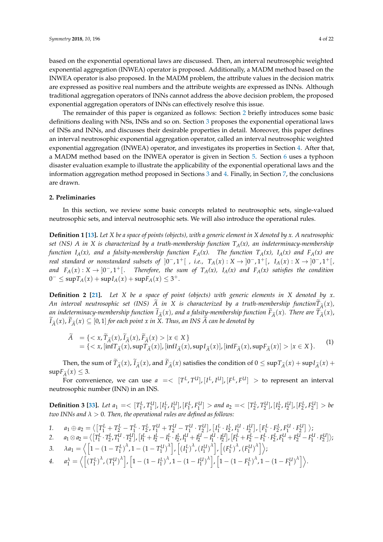based on the exponential operational laws are discussed. Then, an interval neutrosophic weighted exponential aggregation (INWEA) operator is proposed. Additionally, a MADM method based on the INWEA operator is also proposed. In the MADM problem, the attribute values in the decision matrix are expressed as positive real numbers and the attribute weights are expressed as INNs. Although traditional aggregation operators of INNs cannot address the above decision problem, the proposed exponential aggregation operators of INNs can effectively resolve this issue.

The remainder of this paper is organized as follows: Section [2](#page-3-0) briefly introduces some basic definitions dealing with NSs, INSs and so on. Section [3](#page-5-0) proposes the exponential operational laws of INSs and INNs, and discusses their desirable properties in detail. Moreover, this paper defines an interval neutrosophic exponential aggregation operator, called an interval neutrosophic weighted exponential aggregation (INWEA) operator, and investigates its properties in Section [4.](#page-10-0) After that, a MADM method based on the INWEA operator is given in Section [5.](#page-14-0) Section [6](#page-14-1) uses a typhoon disaster evaluation example to illustrate the applicability of the exponential operational laws and the information aggregation method proposed in Sections [3](#page-5-0) and [4.](#page-10-0) Finally, in Section [7,](#page-18-0) the conclusions are drawn.

#### <span id="page-3-0"></span>**2. Preliminaries**

In this section, we review some basic concepts related to neutrosophic sets, single-valued neutrosophic sets, and interval neutrosophic sets. We will also introduce the operational rules.

**Definition 1 [\[13\]](#page-19-12).** *Let X be a space of points (objects), with a generic element in X denoted by x. A neutrosophic set (NS) A in X is characterized by a truth-membership function TA(x), an indeterminacy-membership function IA(x), and a falsity-membership function FA(x). The function TA(x), IA(x) and FA(x) are real standard or nonstandard subsets of*  $]0^-, 1^+[$  *, i.e.,*  $T_A(x): X \to [0^-, 1^+[$ ,  $I_A(x): X \to [0^-, 1^+[$ , *and*  $F_A(x): X → ]0^-, 1^+[$ . *Therefore, the sum of*  $T_A(x)$ ,  $I_A(x)$  and  $F_A(x)$  satisfies the condition 0<sup>−</sup> ≤ sup $T_A(x)$  + sup $I_A(x)$  + sup $F_A(x)$  ≤ 3<sup>+</sup>.

**Definition 2 [\[21\]](#page-20-2).** *Let X be a space of point (objects) with generic elements in X denoted by x*. *An interval neutrosophic set (INS) A in X is characterized by a truth-membership function* $T_{\tilde{A}}(x)$ ,<br>an indeterminent membership function  $\tilde{I}_i(x)$ , and a fability membership function  $\tilde{I}_i(x)$ . Then an *an indeterminacy-membership function*  $I_{\tilde{A}}(x)$ , and a falsity-membership function  $F_{\tilde{A}}(x)$ . There are  $T_{\tilde{A}}(x)$ ,  $\tilde{L}_{\tilde{A}}(x)$ ,  $\tilde{L}_{\tilde{A}}(x)$ ,  $\tilde{L}_{\tilde{A}}(x)$ ,  $\tilde{L}_{\tilde{A}}(x)$ ,  $\tilde{L}_{\tilde{A}}(x)$  $\widehat{I}_{\widetilde{A}}(x)$ ,  $\widehat{F}_{\widetilde{A}}(x) \subseteq [0,1]$  *for each point x in X. Thus, an INS A can be denoted by* 

$$
\begin{aligned}\n\widetilde{A} &= \{ < x, \widetilde{T}_{\widetilde{A}}(x), \widetilde{I}_{\widetilde{A}}(x), \widetilde{F}_{\widetilde{A}}(x) > |x \in X\} \\
&= \{ < x, [\inf T_{\widetilde{A}}(x), \sup T_{\widetilde{A}}(x)], [\inf I_{\widetilde{A}}(x), \sup I_{\widetilde{A}}(x)], [\inf F_{\widetilde{A}}(x), \sup F_{\widetilde{A}}(x)] > |x \in X\}.\n\end{aligned}\n\tag{1}
$$

Then, the sum of  $\tilde{T}_{\tilde{A}}(x)$ ,  $\tilde{I}_{\tilde{A}}(x)$ , and  $\tilde{F}_{\tilde{A}}(x)$  satisfies the condition of  $0 \le \sup \tilde{T}_{\tilde{A}}(x) + \sup \tilde{I}_{\tilde{A}}(x) + \frac{1}{2}$  $\sup F_{\tilde{A}}(x) \leq 3.$ 

For convenience, we can use  $a = \langle [T^L, T^U] , [I^L, I^U] , [F^L, F^U] \rangle$  to represent an interval neutrosophic number (INN) in an INS.

**Definition 3 [\[33\]](#page-20-13).** Let  $a_1 = \langle [T_1^L, T_1^U], [I_1^L, I_1^U], [F_1^L, F_1^U] \rangle$  and  $a_2 = \langle [T_2^L, T_2^U], [I_2^L, I_2^U], [F_2^L, F_2^U] \rangle$  be *two INNs and λ* > 0*. Then, the operational rules are defined as follows:*

1. 
$$
a_1 \oplus a_2 = \langle \left[T_1^L + T_2^L - T_1^L \cdot T_2^L, T_1^U + T_2^U - T_1^U \cdot T_2^U\right], \left[I_1^L \cdot I_2^L, I_1^U \cdot I_2^U\right], \left[F_1^L \cdot F_2^L, F_1^U \cdot F_2^U\right] \rangle
$$
;

2. 
$$
a_1 \otimes a_2 = \langle \left[ T_1^L \cdot T_2^L, T_1^U \cdot T_2^U \right], \left[ I_1^L + I_2^L - I_1^L \cdot I_2^L, I_1^U + I_2^U - I_1^U \cdot I_2^U \right], \left[ F_1^L + F_2^L - F_1^L \cdot F_2^L, F_1^U + F_2^U - I_1^U \cdot I_2^U \right], \left[ F_1^L + F_2^L - F_1^L \cdot F_2^L, F_1^U + F_2^U - F_1^U \cdot I_2^U \right],
$$
  
\n3.  $\lambda a_1 = \langle \left[ 1 - (1 - T_1^L)^{\lambda}, 1 - (1 - T_1^U)^{\lambda} \right], \left[ (I_1^L)^{\lambda}, (I_1^U)^{\lambda} \right], \left[ (F_1^L)^{\lambda}, (F_1^U)^{\lambda} \right] \rangle$ ;

4. 
$$
a_1^{\lambda} = \left\langle \left[ (T_1^L)^{\lambda}, (T_1^U)^{\lambda} \right], \left[ 1 - (1 - I_1^L)^{\lambda}, 1 - (1 - I_1^U)^{\lambda} \right], \left[ 1 - (1 - F_1^L)^{\lambda}, 1 - (1 - F_1^U)^{\lambda} \right] \right\rangle.
$$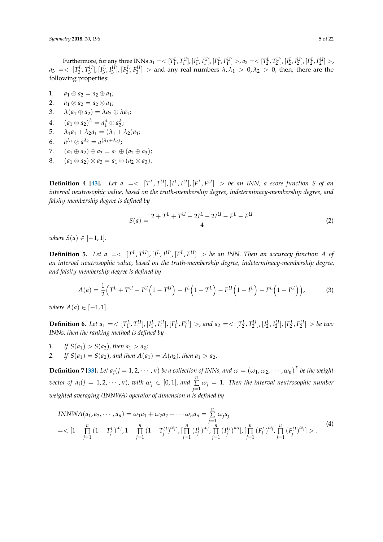Furthermore, for any three INNs  $a_1 = \langle [T_1^L, T_1^U], [I_1^L, I_1^U], [F_1^L, F_1^U] \rangle$ ,  $a_2 = \langle [T_2^L, T_2^U], [I_2^L, I_2^U], [F_2^L, F_2^U] \rangle$  $a_3 = \langle [T_3^L, T_3^U], [I_3^L, I_3^U], [F_3^L, F_3^U] > \text{and any real numbers } \lambda, \lambda_1 > 0, \lambda_2 > 0$ , then, there are the following properties:

- 1.  $a_1 \oplus a_2 = a_2 \oplus a_1;$
- 2.  $a_1 \otimes a_2 = a_2 \otimes a_1;$
- 3.  $\lambda(a_1 \oplus a_2) = \lambda a_2 \oplus \lambda a_1;$
- 4.  $(a_1 \otimes a_2)^{\lambda} = a_1^{\lambda} \oplus a_2^{\lambda}$ ;
- 5.  $\lambda_1 a_1 + \lambda_2 a_1 = (\lambda_1 + \lambda_2)a_1;$
- 6. *a*  $\lambda_1 \otimes a \lambda_2 = a^{(\lambda_1 + \lambda_2)}$ ;
- 7.  $(a_1 \oplus a_2) \oplus a_3 = a_1 \oplus (a_2 \oplus a_3);$
- 8.  $(a_1 \otimes a_2) \otimes a_3 = a_1 \otimes (a_2 \otimes a_3).$

**Definition 4 [\[43\]](#page-21-1).** Let  $a = \langle [T^L, T^U], [I^L, I^U], [F^L, F^U] \rangle$  be an INN, a score function S of an *interval neutrosophic value, based on the truth-membership degree, indeterminacy-membership degree, and falsity-membership degree is defined by*

$$
S(a) = \frac{2 + T^{L} + T^{U} - 2I^{L} - 2I^{U} - F^{L} - F^{U}}{4}
$$
\n(2)

*where*  $S(a) \in [-1, 1]$ .

**Definition 5.** Let  $a = \begin{bmatrix} T^L, T^U, [I^L, I^U], [F^L, F^U] \end{bmatrix}$  be an INN. Then an accuracy function A of *an interval neutrosophic value, based on the truth-membership degree, indeterminacy-membership degree, and falsity-membership degree is defined by*

$$
A(a) = \frac{1}{2} \Big( T^{L} + T^{U} - I^{U} \Big( 1 - T^{U} \Big) - I^{L} \Big( 1 - T^{L} \Big) - F^{U} \Big( 1 - I^{L} \Big) - F^{L} \Big( 1 - I^{U} \Big) \Big), \tag{3}
$$

*where*  $A(a) \in [-1, 1]$ .

**Definition 6.** Let  $a_1 = \langle [T_1^L, T_1^U], [I_1^L, I_1^U], [F_1^L, F_1^U] \rangle$ , and  $a_2 = \langle [T_2^L, T_2^U], [I_2^L, I_2^U], [F_2^L, F_2^U] \rangle$  be two *INNs, then the ranking method is defined by*

- *1. If*  $S(a_1) > S(a_2)$ , then  $a_1 > a_2$ ;
- 2. *If*  $S(a_1) = S(a_2)$ , and then  $A(a_1) = A(a_2)$ , then  $a_1 > a_2$ .

**Definition 7** [\[33\]](#page-20-13). Let  $a_j$ ( $j = 1, 2, \cdots, n$ ) be a collection of INNs, and  $\omega = (\omega_1, \omega_2, \cdots, \omega_n)^T$  be the weight *vector of*  $a_j$ ( $j = 1, 2, \cdots, n$ ), with  $\omega_j \in [0, 1]$ , and  $\sum_{i=1}^{n}$  $\sum_{j=1}$   $\omega_j = 1$ *. Then the interval neutrosophic number weighted averaging (INNWA) operator of dimension n is defined by*

$$
INNWA(a_1, a_2, \cdots, a_n) = \omega_1 a_1 + \omega_2 a_2 + \cdots + \omega_n a_n = \sum_{j=1}^n \omega_j a_j
$$
  
=  $\left[1 - \prod_{j=1}^n (1 - T_j^L)^{\omega_j}, 1 - \prod_{j=1}^n (1 - T_j^U)^{\omega_j}\right], \left[\prod_{j=1}^n (I_j^L)^{\omega_j}, \prod_{j=1}^n (I_j^U)^{\omega_j}\right], \left[\prod_{j=1}^n (F_j^L)^{\omega_j}, \prod_{j=1}^n (F_j^U)^{\omega_j}\right] > .$  (4)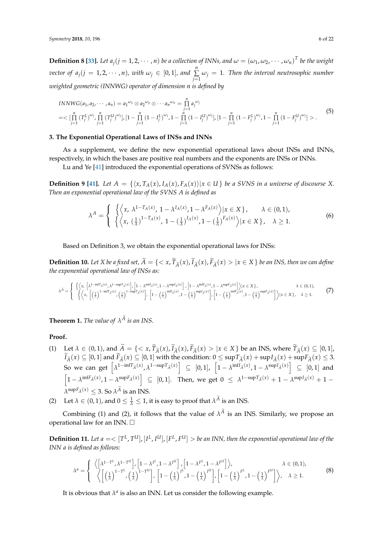**Definition 8 [\[33\]](#page-20-13).** Let  $a_j$  ( $j = 1, 2, \cdots, n$ ) be a collection of INNs, and  $\omega = (\omega_1, \omega_2, \cdots, \omega_n)^T$  be the weight *vector of*  $a_j$ ( $j = 1, 2, \cdots, n$ ), with  $\omega_j \in [0, 1]$ , and  $\sum_{i=1}^{n}$  $\sum_{j=1} \omega_j = 1$ *. Then the interval neutrosophic number weighted geometric (INNWG) operator of dimension n is defined by*

$$
INNWG(a_1, a_2, \cdots, a_n) = a_1^{\omega_1} \otimes a_2^{\omega_2} \otimes \cdots a_n^{\omega_n} = \prod_{j=1}^n a_j^{\omega_j}
$$
  
=
$$
\left[ \prod_{j=1}^n (T_j^L)^{\omega_j}, \prod_{j=1}^n (T_j^U)^{\omega_j} \right], [1 - \prod_{j=1}^n (1 - I_j^L)^{\omega_j}, 1 - \prod_{j=1}^n (1 - I_j^U)^{\omega_j}], [1 - \prod_{j=1}^n (1 - F_j^L)^{\omega_j}, 1 - \prod_{j=1}^n (1 - F_j^U)^{\omega_j}] > .
$$

$$
(5)
$$

#### <span id="page-5-0"></span>**3. The Exponential Operational Laws of INSs and INNs**

As a supplement, we define the new exponential operational laws about INSs and INNs, respectively, in which the bases are positive real numbers and the exponents are INSs or INNs.

Lu and Ye [\[41\]](#page-20-21) introduced the exponential operations of SVNSs as follows:

**Definition 9 [\[41\]](#page-20-21).** Let  $A = \{ \langle x, T_A(x), I_A(x), F_A(x) \rangle | x \in U \}$  be a SVNS in a universe of discourse X. *Then an exponential operational law of the SVNS A is defined as*

$$
\lambda^{A} = \begin{cases} \left\{ \left\langle x, \lambda^{1-T_{A}(x)}, 1 - \lambda^{I_{A}(x)}, 1 - \lambda^{F_{A}(x)} \right\rangle | x \in X \right\}, & \lambda \in (0,1), \\ \left\{ \left\langle x, \left(\frac{1}{\lambda}\right)^{1-T_{A}(x)}, 1 - \left(\frac{1}{\lambda}\right)^{I_{A}(x)}, 1 - \left(\frac{1}{\lambda}\right)^{F_{A}(x)} \right\rangle | x \in X \right\}, & \lambda \ge 1. \end{cases}
$$
(6)

Based on Definition 3, we obtain the exponential operational laws for INSs:

**Definition 10.** Let X be a fixed set,  $A = \{ \langle x, T_{\tilde{A}}(x), I_{\tilde{A}}(x), F_{\tilde{A}}(x) > | x \in X \}$  be an INS, then we can define *the exponential operational law of INSs as:*

$$
\lambda^{\tilde{A}} = \begin{cases}\n\left\{\left\langle x, \left[\lambda^{1-\inf T_{\tilde{A}}(x), \lambda^{1-\sup T_{\tilde{A}}(x)}\right], \left[1-\lambda^{\inf I_{\tilde{A}}(x), 1-\lambda^{\sup I_{\tilde{A}}(x)}\right], \left[1-\lambda^{\inf T_{\tilde{A}}(x), 1-\lambda^{\sup I_{\tilde{A}}(x)}\right], \left[1-\lambda^{\inf T_{\tilde{A}}(x), 1-\lambda^{\sup T_{\tilde{A}}(x)}\right]\right\rangle, \left[1-\left(\frac{1}{\lambda}\right)^{\sup I_{\tilde{A}}(x)}\right], \\
\left[\lambda \in (0, 1), \left[\lambda \in (0, 1)\right] \right] \times \left[\lambda \in (0, 1), \left[\lambda \in (0, 1)\right] \right] \times \left[1-\left(\frac{1}{\lambda}\right)^{\sup I_{\tilde{A}}(x), \left[1-\left(\frac{1}{\lambda}\right)^{\sup I_{\tilde{A}}(x)}\right], \left[1-\left(\frac{1}{\lambda}\right)^{\sup I_{\tilde{A}}(x)}\right], \left[1-\left(\frac{1}{\lambda}\right)^{\sup I_{\tilde{A}}(x)}\right]\right\rangle, \\
\left[1-\left(\frac{1}{\lambda}\right)^{\sup I_{\tilde{A}}(x), \left[1-\left(\frac{1}{\lambda}\right)^{\sup I_{\tilde{A}}(x)}\right], \left[1-\left(\frac{1}{\lambda}\right)^{\sup I_{\tilde{A}}(x), \left[1-\left(\frac{1}{\lambda}\right)^{\sup I_{\tilde{A}}(x)}\right], \left[1-\left(\frac{1}{\lambda}\right)^{\sup I_{\tilde{A}}(x)}\right], \left[1-\left(\frac{1}{\lambda}\right)^{\sup I_{\tilde{A}}(x)}\right], \\
\left[\lambda \in (0, 1), \left[\lambda \in (0, 1)\right] \right] \times \left[\lambda \in (0, 1)\right] \times \left[\lambda \in (0, 1)\right] \times \left[1-\left(\frac{1}{\lambda}\right)^{\sup I_{\tilde{A}}(x), \left[1-\left(\frac{1}{\lambda}\right)^{\sup I_{\tilde{A}}(x)}\right], \left[1-\left(\frac{1}{\lambda}\right)^{\sup I_{\tilde{A}}(x)}\right], \
$$

**Theorem 1.** *The value of*  $\lambda^A$  *is an INS*.

#### **Proof.**

- (1) Let  $\lambda \in (0,1)$ , and  $A = \{ \langle x, T_{\tilde{A}}(x), I_{\tilde{A}}(x) \rangle | x \in X \}$  be an INS, where  $T_{\tilde{A}}(x) \subseteq [0,1]$ ,<br> $\tilde{L}(x) \subseteq [0,1]$  and  $\tilde{L}(x) \subseteq [0,1]$  and the spatial probability  $0 \leq \sup T_{\tilde{A}}(x)$  and  $L(x) \leq 2$  $\widehat{I}_{\widetilde{A}}(x) \subseteq [0,1]$  and  $\widehat{I}_{\widetilde{A}}(x) \subseteq [0,1]$  with the condition:  $0 \leq \sup T_{\widetilde{A}}(x) + \sup I_{\widetilde{A}}(x) + \sup I_{\widetilde{A}}(x) \leq 3.$ So we can get  $\left[\lambda^{1-\inf T_{\tilde{A}}(x)}, \lambda^{1-\sup T_{\tilde{A}}(x)}\right] \subseteq [0,1], \left[1-\lambda^{\inf I_{\tilde{A}}(x)}, 1-\lambda^{\sup I_{\tilde{A}}(x)}\right] \subseteq [0,1]$  and  $\left[1 - \lambda^{\inf F_{\tilde{A}}(x)}, 1 - \lambda^{\sup F_{\tilde{A}}(x)}\right] \subseteq [0, 1].$  Then, we get  $0 \leq \lambda^{1-\sup T_{\tilde{A}}(x)} + 1 - \lambda^{\sup T_{\tilde{A}}(x)} + 1 \lambda^{\sup F_{\widetilde{A}}(x)} \leq 3$ . So  $\lambda^{\widetilde{A}}$  is an INS.
- (2) Let  $\lambda \in (0,1)$ , and  $0 \leq \frac{1}{\lambda} \leq 1$ , it is easy to proof that  $\lambda^A$  is an INS.

Combining (1) and (2), it follows that the value of  $\lambda^A$  is an INS. Similarly, we propose an operational law for an INN.

**Definition 11.** Let  $a = \langle T^L, T^U, [I^L, I^U], [F^L, F^U] \rangle$  be an INN, then the exponential operational law of the *INN a is defined as follows:*

$$
\lambda^{a} = \begin{cases} \left\langle \left[ \lambda^{1-T^{L}}, \lambda^{1-T^{U}} \right], \left[ 1 - \lambda^{I^{L}}, 1 - \lambda^{I^{U}} \right], \left[ 1 - \lambda^{F^{L}}, 1 - \lambda^{F^{U}} \right] \right\rangle, & \lambda \in (0,1), \\ \left\langle \left[ \left( \frac{1}{\lambda} \right)^{1-T^{L}}, \left( \frac{1}{\lambda} \right)^{1-T^{U}} \right], \left[ 1 - \left( \frac{1}{\lambda} \right)^{I^{L}}, 1 - \left( \frac{1}{\lambda} \right)^{I^{U}} \right], \left[ 1 - \left( \frac{1}{\lambda} \right)^{F^{L}}, 1 - \left( \frac{1}{\lambda} \right)^{F^{U}} \right] \right\rangle, & \lambda \ge 1. \end{cases}
$$
(8)

It is obvious that  $\lambda^a$  is also an INN. Let us consider the following example.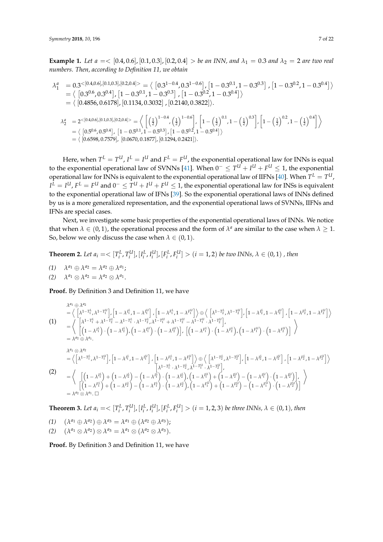**Example 1.** Let  $a = \langle [0.4, 0.6], [0.1, 0.3], [0.2, 0.4] \rangle$  be an INN, and  $\lambda_1 = 0.3$  and  $\lambda_2 = 2$  are two real *numbers. Then, according to Definition 11, we obtain*

$$
\lambda_1^a = 0.3^{(0.4,0.6), [0.1,0.3], [0.2,0.4]} = \langle [0.3^{1-0.4}, 0.3^{1-0.6}], [1-0.3^{0.1}, 1-0.3^{0.3}], [1-0.3^{0.2}, 1-0.3^{0.4}] \rangle
$$
  
\n
$$
= \langle [0.3^{0.6}, 0.3^{0.4}], [1-0.3^{0.1}, 1-0.3^{0.3}], [1-0.3^{0.2}, 1-0.3^{0.4}] \rangle
$$
  
\n
$$
= \langle [0.4856, 0.6178], [0.1134, 0.3032], [0.2140, 0.3822] \rangle.
$$
  
\n
$$
\lambda_2^a = 2^{(0.4,0.6], [0.1,0.3], [0.2,0.4]} = \langle [(\frac{1}{2})^{1-0.4}, (\frac{1}{2})^{1-0.6}], [1-(\frac{1}{2})^{0.1}, 1-(\frac{1}{2})^{0.3}], [1-(\frac{1}{2})^{0.2}, 1-(\frac{1}{2})^{0.4}] \rangle
$$
  
\n
$$
= \langle [0.5^{0.6}, 0.5^{0.4}], [1-0.5^{0.1}, 1-0.5^{0.3}], [1-0.5^{0.2}, 1-0.5^{0.4}] \rangle
$$

 $= \langle [0.6598, 0.7579], [0.0670, 0.1877], [0.1294, 0.2421]\rangle.$ 

Here, when  $T^L=T^U$ ,  $I^L=I^U$  and  $F^L=F^U$ , the exponential operational law for INNs is equal to the exponential operational law of SVNNs [\[41\]](#page-20-21). When  $0^- \leq T^U + I^U + F^U \leq 1$ , the exponential operational law for INNs is equivalent to the exponential operational law of IIFNs [\[40\]](#page-20-20). When  $T^L=T^U$ ,  $I^L = I^U$ ,  $F^L = F^U$  and  $0^- \leq T^U + I^U + F^U \leq 1$ , the exponential operational law for INSs is equivalent to the exponential operational law of IFNs [\[39\]](#page-20-19). So the exponential operational laws of INNs defined by us is a more generalized representation, and the exponential operational laws of SVNNs, IIFNs and IFNs are special cases.

Next, we investigate some basic properties of the exponential operational laws of INNs. We notice that when  $\lambda \in (0,1)$ , the operational process and the form of  $\lambda^a$  are similar to the case when  $\lambda \geq 1$ . So, below we only discuss the case when  $\lambda \in (0,1)$ .

**Theorem 2.** Let 
$$
a_i = \langle [T_i^L, T_i^U], [I_i^L, I_i^U], [F_i^L, F_i^U] \rangle
$$
  $(i = 1, 2)$  be two INNs,  $\lambda \in (0, 1)$ , then

- $\lambda^{a_1} \oplus \lambda^{a_2} = \lambda^{a_2} \oplus \lambda^{a_1};$
- $\lambda^{a_1} \otimes \lambda^{a_2} = \lambda^{a_2} \otimes \lambda^{a_1}.$

**Proof.** By Definition 3 and Definition 11, we have

$$
\lambda^{a_1} \oplus \lambda^{a_2} = \left\langle \begin{bmatrix} \lambda^{1-T_1^L}, \lambda^{1-T_1^U} \end{bmatrix}, \begin{bmatrix} 1 - \lambda^{I_1^L}, 1 - \lambda^{I_1^U} \end{bmatrix}, \begin{bmatrix} 1 - \lambda^{F_1^L}, 1 - \lambda^{F_1^U} \end{bmatrix} \right\rangle \oplus \left\langle \begin{bmatrix} \lambda^{1-T_2^L}, \lambda^{1-T_2^U} \end{bmatrix}, \begin{bmatrix} 1 - \lambda^{I_2^L}, 1 - \lambda^{I_2^U} \end{bmatrix}, \begin{bmatrix} 1 - \lambda^{F_2^L}, 1 - \lambda^{F_2^U} \end{bmatrix} \right\rangle
$$
\n
$$
= \left\langle \begin{bmatrix} \lambda^{1-T_1^L} + \lambda^{1-T_2^L} - \lambda^{1-T_1^L} \cdot \lambda^{1-T_2^L}, \lambda^{1-T_1^U} + \lambda^{1-T_2^U} - \lambda^{1-T_1^U} \cdot \lambda^{1-T_2^U} \end{bmatrix}, \begin{bmatrix} \left( 1 - \lambda^{F_2^L} \right) \cdot \left( 1 - \lambda^{F_2^L} \right), \left( 1 - \lambda^{F_2^U} \right) \end{bmatrix} \right\rangle
$$
\n
$$
= \lambda^{a_2} \oplus \lambda^{a_1}.
$$
\n
$$
\lambda^{a_1} \otimes \lambda^{a_2} = \left\langle \begin{bmatrix} \lambda^{1-T_1^L}, \lambda^{1-T_1^U} \end{bmatrix}, \begin{bmatrix} 1 - \lambda^{I_1^L} \end{bmatrix}, \begin{bmatrix} 1 - \lambda^{F_1^L}, 1 - \lambda^{F_1^U} \end{bmatrix} \right\rangle \oplus \left\langle \begin{bmatrix} \lambda^{1-T_2^L}, \lambda^{1-T_2^U} \end{bmatrix}, \begin{bmatrix} 1 - \lambda^{F_2^L}, 1 - \lambda^{F_2^U} \end{bmatrix} \right\rangle
$$
\n
$$
= \left\langle \begin{bmatrix} \lambda^{1-T_1^L}, \lambda^{1-T_1^U} \end{bmatrix}, \begin{bmatrix} 1 - \lambda^{I_1^L}, 1 - \lambda^{I_1^U} \end{bmatrix}, \begin{bmatrix} 1 - \lambda
$$

**Theorem 3.** Let  $a_i = \langle [T_i^L, T_i^U], [I_i^L, I_i^U], [F_i^L, F_i^U] \rangle$   $(i = 1, 2, 3)$  be three INNs,  $\lambda \in (0, 1)$ , then

 $(1)$   $(\lambda^{a_1} \oplus \lambda^{a_2}) \oplus \lambda^{a_3} = \lambda^{a_1} \oplus (\lambda^{a_2} \oplus \lambda^{a_3});$ 

(2)  $(\lambda^{a_1} \otimes \lambda^{a_2}) \otimes \lambda^{a_3} = \lambda^{a_1} \otimes (\lambda^{a_2} \otimes \lambda^{a_3}).$ 

**Proof.** By Definition 3 and Definition 11, we have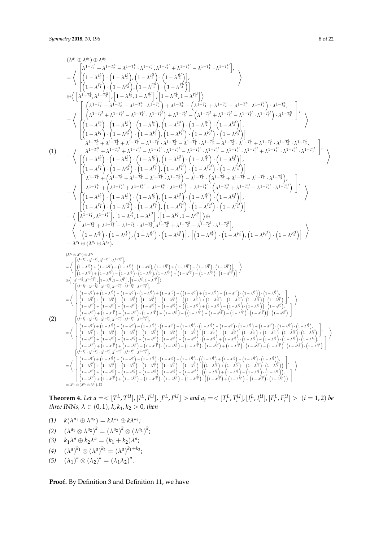$$
(A^{a} \oplus A^{a}) \otimes A^{b} = 0
$$
\n
$$
= \left\{ \begin{pmatrix} 1 & -1 & + \\ 1 & -1 & + \\ 1 & -1 & + \end{pmatrix} \cdot \begin{pmatrix} 1 & -1 & + \\ 1 & -1 & + \end{pmatrix} \cdot \begin{pmatrix} 1 & -1 & + \\ 1 & -1 & + \end{pmatrix} \cdot \begin{pmatrix} 1 & -1 & + \\ 1 & -1 & + \end{pmatrix} \cdot \begin{pmatrix} 1 & -1 & + \\ 1 & -1 & + \end{pmatrix} \cdot \begin{pmatrix} 1 & -1 & + \\ 1 & -1 & + \end{pmatrix} \cdot \begin{pmatrix} 1 & -1 & + \\ 1 & -1 & + \end{pmatrix} \cdot \begin{pmatrix} 1 & -1 & + \\ 1 & -1 & + \end{pmatrix} \cdot \begin{pmatrix} 1 & -1 & + \\ 1 & -1 & + \end{pmatrix} \cdot \begin{pmatrix} 1 & -1 & + \\ 1 & -1 & + \end{pmatrix} \cdot \begin{pmatrix} 1 & -1 & + \\ 1 & -1 & + \end{pmatrix} \cdot \begin{pmatrix} 1 & -1 & + \\ 1 & -1 & + \end{pmatrix} \cdot \begin{pmatrix} 1 & -1 & + \\ 1 & -1 & + \end{pmatrix} \cdot \begin{pmatrix} 1 & -1 & + \\ 1 & -1 & + \end{pmatrix} \cdot \begin{pmatrix} 1 & -1 & + \\ 1 & -1 & + \end{pmatrix} \cdot \begin{pmatrix} 1 & -1 & + \\ 1 & -1 & + \end{pmatrix} \cdot \begin{pmatrix} 1 & -1 & + \\ 1 & -1 & + \end{pmatrix} \cdot \begin{pmatrix} 1 & -1 & + \\ 1 & -1 & + \end{pmatrix} \cdot \begin{pmatrix} 1 & -1 & + \\ 1 & -1 & + \end{pmatrix} \cdot \begin{pmatrix} 1 & -1 & + \\ 1 & -1 & + \end{pmatrix} \cdot \begin{pmatrix} 1 & -1 & + \\ 1 & -1 & + \end{pmatrix} \cdot \begin{pmatrix} 1 & -1 & + \\ 1 & -1 & + \end{pmatrix} \cdot \begin{pmatrix} 1 & -1 & + \\ 1 & -1 & + \end{pmatrix} \cdot \begin{pmatrix} 1 & -1 & + \\ 1 & -1 & + \end{pmatrix} \cdot \begin{pmatrix} 1 & -1 & + \\ 1 & -1
$$

**Theorem 4.** Let  $a = \langle [T^L, T^U], [I^L, I^U], [F^L, F^U] \rangle$  and  $a_i = \langle [T_i^L, T_i^U], [I_i^L, I_i^U], [F_i^L, F_i^U] \rangle$   $(i = 1, 2)$  be *three INNs,*  $\lambda \in (0, 1)$ ,  $k, k_1, k_2 > 0$ , then

- $k(\lambda^{a_1} \oplus \lambda^{a_2}) = k\lambda^{a_1} \oplus k\lambda^{a_2};$
- $(2)$   $(\lambda^{a_1} \otimes \lambda^{a_2})^k = (\lambda^{a_2})^k \otimes (\lambda^{a_1})^k;$
- (3)  $k_1 \lambda^a \oplus k_2 \lambda^a = (k_1 + k_2) \lambda^a;$
- *(4)*  $(\lambda^a)^{k_1} \otimes (\lambda^a)^{k_2} = (\lambda^a)^{k_1+k_2};$
- (5)  $(\lambda_1)^a \otimes (\lambda_2)^a = (\lambda_1 \lambda_2)^a$ .

# **Proof.** By Definition 3 and Definition 11, we have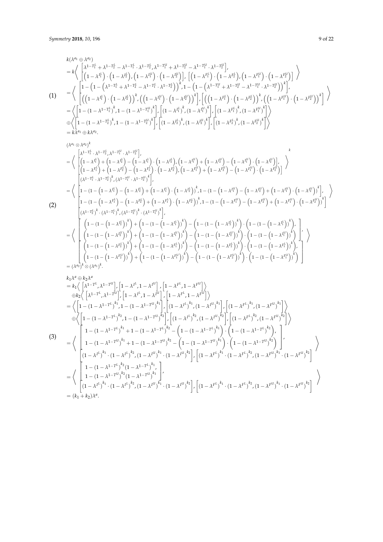(2)

(3)

$$
k(\lambda^{a_1} \oplus \lambda^{a_2})
$$
\n
$$
= k \Bigg\{ \begin{bmatrix} \lambda^{1-T_1^L} + \lambda^{1-T_2^L} - \lambda^{1-T_1^L} \cdot \lambda^{1-T_2^L} \lambda^{1-T_1^L} + \lambda^{1-T_2^L} - \lambda^{1-T_1^L} \cdot \lambda^{1-T_2^L} \end{bmatrix}, \left[ (1 - \lambda^{I_1^L}) \cdot (1 - \lambda^{I_2^L}) \cdot (1 - \lambda^{I_1^L}) \cdot (1 - \lambda^{I_2^L}) \right] \Bigg\} \Bigg\}
$$
\n
$$
= \Bigg\{ \begin{bmatrix} 1 - \left(1 - (\lambda^{1-T_1^L} + \lambda^{1-T_2^L} - \lambda^{1-T_1^L} \cdot \lambda^{1-T_2^L}) \lambda^{1-T_2^L} - \lambda^{1-T_1^L} \cdot \lambda^{1-T_2^L} \right) \lambda^{1} - \left(1 - (\lambda^{1-T_1^L} + \lambda^{1-T_2^L} - \lambda^{1-T_1^L} \cdot \lambda^{1-T_2^L}) \right) \lambda^{1} \end{bmatrix},
$$
\n
$$
= \Bigg\{ \begin{bmatrix} 1 - \left(1 - (\lambda^{1-T_1^L} + \lambda^{1-T_2^L} - \lambda^{1-T_1^L} \cdot \lambda^{1-T_2^L}) \right) \lambda^{1} - \left(1 - (\lambda^{1-T_1^L} + \lambda^{1-T_2^L} - \lambda^{1-T_1^L} \cdot \lambda^{1-T_2^L}) \right) \lambda^{1} \cdot \left[ ((1 - \lambda^{I_1^L}) \cdot (1 - \lambda^{I_2^L}) \right) \lambda^{1} \cdot \left[ ((1 - \lambda^{I_1^L}) \cdot (1 - \lambda^{I_2^L}) \cdot \lambda^{1} \cdot \lambda^{1-T_2^L} \cdot \lambda^{1-T_2^L} \cdot \lambda^{1-T_2^L} \cdot \lambda^{1-T_2^L} \cdot \lambda^{1-T_2^L} \right] \lambda^{1} \Bigg\} \Bigg\}
$$
\n
$$
= \Bigg\{ \left[ 1 - (1 - \lambda^{1-T_1^L}) \lambda^{1} - (1 - \lambda^{1-T_1^L}) \lambda^{1} \right] \cdot \left[ ((1 - \lambda^{I_1^L}) \lambda^{
$$

$$
(\lambda^{a_1} \otimes \lambda^{a_2})^k
$$
\n
$$
= \left\langle \begin{array}{l} \begin{pmatrix} \lambda^{1-T_1^L} \cdot \lambda^{1-T_2^L} \cdot \lambda^{1-T_1^L} \cdot \lambda^{1-T_2^L} \end{pmatrix}, \begin{pmatrix} 1-\lambda^{I_1^L} \end{pmatrix}, \begin{pmatrix} 1-\lambda^{I_1^L} \end{pmatrix}, \begin{pmatrix} 1-\lambda^{I_1^L} \end{pmatrix}, \begin{pmatrix} 1-\lambda^{I_1^L} \end{pmatrix}, \begin{pmatrix} 1-\lambda^{I_1^L} \end{pmatrix}, \begin{pmatrix} 1-\lambda^{I_1^L} \end{pmatrix}, \begin{pmatrix} 1-\lambda^{I_1^L} \end{pmatrix}, \begin{pmatrix} 1-\lambda^{I_1^L} \end{pmatrix}, \begin{pmatrix} 1-\lambda^{I_1^L} \end{pmatrix}, \begin{pmatrix} 1-\lambda^{I_1^L} \end{pmatrix}, \begin{pmatrix} 1-\lambda^{I_1^L} \end{pmatrix}, \begin{pmatrix} 1-\lambda^{I_1^L} \end{pmatrix}, \begin{pmatrix} 1-\lambda^{I_1^L} \end{pmatrix}, \begin{pmatrix} 1-\lambda^{I_1^L} \end{pmatrix}, \begin{pmatrix} 1-\lambda^{I_1^L} \end{pmatrix}, \begin{pmatrix} 1-\lambda^{I_1^L} \end{pmatrix}, \begin{pmatrix} 1-\lambda^{I_1^L} \end{pmatrix}, \begin{pmatrix} 1-\lambda^{I_1^L} \end{pmatrix}, \begin{pmatrix} 1-\lambda^{I_1^L} \end{pmatrix}, \begin{pmatrix} 1-\lambda^{I_1^L} \end{pmatrix}, \begin{pmatrix} 1-\lambda^{I_1^L} \end{pmatrix}, \begin{pmatrix} 1-\lambda^{I_1^L} \end{pmatrix}, \begin{pmatrix} 1-\lambda^{I_1^L} \end{pmatrix}, \begin{pmatrix} 1-\lambda^{I_1^L} \end{pmatrix}, \begin{pmatrix} 1-\lambda^{I_1^L} \end{pmatrix}, \begin{pmatrix} 1-\lambda^{I_1^L} \end{pmatrix}, \begin{pmatrix} 1-\lambda^{I_1^L} \end{pmatrix}, \begin{pmatrix} 1-\lambda^{I_1^L} \end{pmatrix}, \begin{pmatrix} 1-\lambda^{I_1^L
$$

$$
k_{1}\lambda^{a} \oplus k_{2}\lambda^{a}
$$
\n
$$
= k_{1}\left\langle \left[ \lambda^{1-T^{L}}, \lambda^{1-T^{U}} \right], \left[ 1 - \lambda^{I^{L}}, 1 - \lambda^{I^{U}} \right], \left[ 1 - \lambda^{F^{L}}, 1 - \lambda^{F^{U}} \right] \right\rangle
$$
\n
$$
\oplus k_{2}\left\langle \left[ \lambda^{1-T^{L}}, \lambda^{1-T^{U}} \right], \left[ 1 - \lambda^{I^{L}}, 1 - \lambda^{I^{U}} \right], \left[ 1 - \lambda^{F^{L}}, 1 - \lambda^{F^{U}} \right] \right\rangle
$$
\n
$$
= \left\langle \left[ 1 - (1 - \lambda^{1-T^{L}})^{k_{1}}, 1 - (1 - \lambda^{1-T^{U}})^{k_{1}} \right], \left[ (1 - \lambda^{I^{L}})^{k_{1}}, (1 - \lambda^{I^{U}})^{k_{1}} \right], \left[ (1 - \lambda^{F^{L}})^{k_{1}}, (1 - \lambda^{F^{U}})^{k_{1}} \right] \right\rangle
$$
\n
$$
\oplus \left\langle \left[ 1 - (1 - \lambda^{1-T^{L}})^{k_{2}}, 1 - (1 - \lambda^{1-T^{L}})^{k_{2}} \right], \left[ (1 - \lambda^{I^{L}})^{k_{2}}, (1 - \lambda^{I^{U}})^{k_{2}} \right], \left[ (1 - \lambda^{F^{L}})^{k_{2}}, (1 - \lambda^{F^{U}})^{k_{2}} \right] \right\rangle
$$
\n
$$
= \left\langle \left[ 1 - (1 - \lambda^{1-T^{L}})^{k_{1}} + 1 - (1 - \lambda^{1-T^{L}})^{k_{2}} - \left( 1 - (1 - \lambda^{1-T^{L}})^{k_{1}} \right) \cdot \left( 1 - (1 - \lambda^{1-T^{L}})^{k_{2}} \right) \right], \left[ (1 - (\lambda^{F^{L}})^{k_{1}}, (1 - \lambda^{F^{U}})^{k_{2}} \right] \right\rangle
$$
\n
$$
= \left\langle \left[ (1 - \lambda^{I^{L}})^{k_{1}} \cdot (1 - \lambda^{I^{L}})^{k_{2}}, (1 - \lambda^{I^{U}})^{k_{1}} \cdot (1 - \lambda^{I^{U}})^{k_{2}} \right], \left[ (1 - \lambda^{F^{L}})^{k_{
$$

 $\left\langle \right\rangle$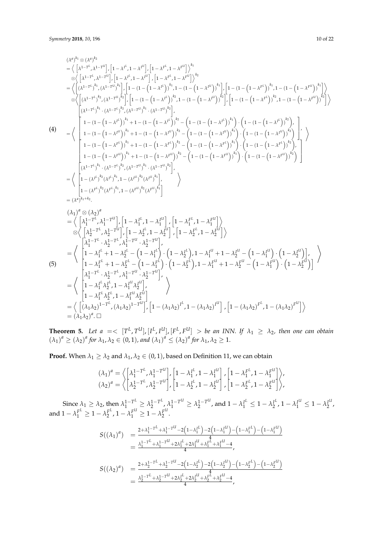$$
(A^a)^{k_1} \otimes (\lambda^{a})^{k_2}
$$
\n
$$
\begin{aligned}\n&= \left\langle \left[ \lambda^{1-t^k}, \lambda^{1-t^l} \right], \left[ 1 - \lambda^{1^k}, 1 - \lambda^{1^l} \right], \left[ 1 - \lambda^{F^k}, 1 - \lambda^{F^l} \right] \right\rangle^{k_1} \\
&= \left\langle \left[ \lambda^{1-t^k}, \lambda^{1-t^l} \right], \left[ 1 - \lambda^{1^k}, 1 - \lambda^{1^l} \right], \left[ 1 - \lambda^{F^k}, 1 - \lambda^{F^l} \right] \right\rangle^{k_2} \\
&= \left\langle \left[ (\lambda^{1-t^k})^{k_1}, (\lambda^{1-t^l})^{k_1} \right], \left[ 1 - (1 - (1 - \lambda^{1^l}))^{k_1}, 1 - (1 - (1 - \lambda^{1^l}))^{k_1} \right], \left[ 1 - (1 - (1 - \lambda^{1^l}))^{k_1}, 1 - (1 - (1 - \lambda^{1^l}))^{k_1} \right\rangle^{k_2} \\
&= \left\langle \left[ (\lambda^{1-t^l})^{k_1}, (\lambda^{1-t^l})^{k_2}, (\lambda^{1-t^l})^{k_1}, (\lambda^{1-t^l})^{k_2} \right], \left[ 1 - (1 - (1 - \lambda^{1^l}))^{k_2} \right], \left[ 1 - (1 - (1 - \lambda^{1^l}))^{k_2} \right], \left[ 1 - (1 - (1 - \lambda^{1^l}))^{k_2} \right], \left[ 1 - (1 - (1 - \lambda^{1^l}))^{k_2} \right] \right\rangle^{k_2} \\
&= \left\langle \left[ 1 - (1 - (1 - \lambda^{1-t}))^{k_1} + 1 - (1 - (1 - \lambda^{1-t}))^{k_2} - (1 - (1 - (1 - \lambda^{1-t}))^{k_1}) \right] \cdot \left( 1 - (1 - (1 - (\lambda^{1-t}))^{k_2} \right) \right\rangle^{k_2} \\
&= \left\langle \left[ 1 - (1 - (1 - \lambda^{1-t}))^{k_1} + 1 - (1 - (1 - \lambda^{1-t}))^{k_2} - (1 - (1 - (1 - \lambda^{1-t}))^{k_1}) \right] \cdot \left( 1 - (1 - (1 - \lambda^{1-t}))^{k_2} \right) \right\rangle^{k
$$

**Theorem 5.** Let  $a = \langle T^L, T^U, [I^L, I^U], [F^L, F^U] \rangle$  be an INN. If  $\lambda_1 \geq \lambda_2$ , then one can obtain  $(\lambda_1)^a \geq (\lambda_2)^a$  for  $\lambda_1, \lambda_2 \in (0, 1)$ , and  $(\lambda_1)^a \leq (\lambda_2)^a$  for  $\lambda_1, \lambda_2 \geq 1$ .

**Proof.** When  $\lambda_1 \geq \lambda_2$  and  $\lambda_1, \lambda_2 \in (0, 1)$ , based on Definition 11, we can obtain

$$
(\lambda_1)^a = \left\langle \begin{bmatrix} \lambda_1^{1-T^L}, \lambda_1^{1-T^U} \\ \lambda_2^{1-T^L}, \lambda_2^{1-T^U} \end{bmatrix}, \begin{bmatrix} 1 - \lambda_1^{I^L}, 1 - \lambda_1^{I^U} \\ 1 - \lambda_2^{I^L}, 1 - \lambda_2^{I^U} \end{bmatrix}, \begin{bmatrix} 1 - \lambda_1^{F^L}, 1 - \lambda_1^{F^U} \\ 1 - \lambda_2^{F^L}, 1 - \lambda_2^{F^U} \end{bmatrix} \right\rangle,
$$

Since  $\lambda_1 \geq \lambda_2$ , then  $\lambda_1^{1-T^L} \geq \lambda_2^{1-T^L}$  $\lambda_1^{1-T^L}, \lambda_1^{1-T^U} \geq \lambda_2^{1-T^U}$  $\lambda_1^{1-T^{U}}$ , and  $1 - \lambda_1^{I^L} \leq 1 - \lambda_2^{I^L}$  $\lambda_1^{I^L}$ , 1 –  $\lambda_1^{I^U} \leq 1 - \lambda_2^{I^U}$  $\frac{1}{2}$ , and  $1 - \lambda_1^{F^L} \ge 1 - \lambda_2^{F^L}$  $2\frac{F^L}{2}$ , 1 –  $\lambda_1^{F^U} \ge 1 - \lambda_2^{F^U}$  $\frac{1}{2}$ .

$$
S((\lambda_1)^a) = \frac{2 + \lambda_1^{1 - T^L} + \lambda_1^{1 - T^L} - 2(1 - \lambda_1^{L^L}) - 2(1 - \lambda_1^{L^L}) - (1 - \lambda_1^{L^L}) - (1 - \lambda_1^{L^L})}{4}
$$
  
\n
$$
= \frac{\lambda_1^{1 - T^L} + \lambda_1^{1 - T^L} + 2\lambda_1^{L^L} + 2\lambda_1^{L^L} + \lambda_1^{L^L} + \lambda_1^{L^L} - 4}{4},
$$
  
\n
$$
S((\lambda_2)^a) = \frac{2 + \lambda_2^{1 - T^L} + \lambda_2^{1 - T^L} - 2(1 - \lambda_2^{L^L}) - 2(1 - \lambda_2^{L^L}) - (1 - \lambda_2^{L^L}) - (1 - \lambda_2^{L^L})}{4}
$$
  
\n
$$
= \frac{\lambda_2^{1 - T^L} + \lambda_2^{1 - T^L} + 2\lambda_2^{L^L} + 2\lambda_2^{L^L} + \lambda_2^{L^L} + \lambda_2^{L^L} - 4}{4},
$$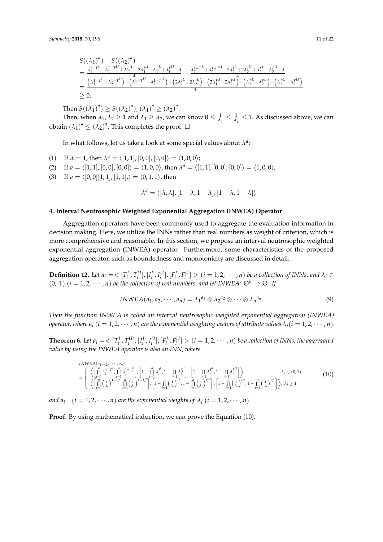$$
\begin{aligned} &S((\lambda_1)^a)-S((\lambda_2)^a)\\ &=\frac{\lambda_1^{1-T^L}+\lambda_1^{1-T^U}+2\lambda_1^{I^L}+2\lambda_1^{I^U}+\lambda_1^{F^L}+\lambda_1^{F^U}-4}{4}-\frac{\lambda_2^{1-T^L}+\lambda_2^{1-T^U}+2\lambda_2^{I^L}+2\lambda_2^{I^U}+\lambda_2^{F^L}+\lambda_2^{F^U}-4}{4}\\ &=\frac{\left(\lambda_1^{1-T^L}-\lambda_2^{1-T^L}\right)+\left(\lambda_1^{1-T^U}-\lambda_2^{1-T^U}\right)+\left(2\lambda_1^{I^L}-2\lambda_2^{I^L}\right)+\left(2\lambda_1^{I^U}-2\lambda_2^{I^U}\right)+\left(\lambda_1^{F^L}-\lambda_2^{F^L}\right)+\left(\lambda_1^{F^U}-\lambda_2^{F^U}\right)}{4}\\ &\geq 0.\end{aligned}
$$

Then  $S((\lambda_1)^a) \ge S((\lambda_2)^a)$ ,  $(\lambda_1)^a \ge (\lambda_2)^a$ .

Then, when  $\lambda_1$ ,  $\lambda_2 \geq 1$  and  $\lambda_1 \geq \lambda_2$ , we can know  $0 \leq \frac{1}{\lambda_1} \leq \frac{1}{\lambda_2} \leq 1$ . As discussed above, we can obtain  $(\lambda_1)^a \leq (\lambda_2)^a$ . This completes the proof.  $\square$ 

In what follows, let us take a look at some special values about  $\lambda^a$ :

- (1) If  $\lambda = 1$ , then  $\lambda^a = \langle [1, 1], [0, 0], [0, 0] \rangle = \langle 1, 0, 0 \rangle;$
- (2) If  $a = \langle [1, 1], [0, 0], [0, 0] \rangle = \langle 1, 0, 0 \rangle$ , then  $\lambda^a = \langle [1, 1], [0, 0], [0, 0] \rangle = \langle 1, 0, 0 \rangle$ ;
- (3) If  $a = \langle [0, 0][1, 1], [1, 1], \rangle = \langle 0, 1, 1 \rangle$ , then

$$
\lambda^a = \langle [\lambda,\lambda], [1-\lambda,1-\lambda], [1-\lambda,1-\lambda] \rangle
$$

#### <span id="page-10-0"></span>**4. Interval Neutrosophic Weighted Exponential Aggregation (INWEA) Operator**

Aggregation operators have been commonly used to aggregate the evaluation information in decision making. Here, we utilize the INNs rather than real numbers as weight of criterion, which is more comprehensive and reasonable. In this section, we propose an interval neutrosophic weighted exponential aggregation (INWEA) operator. Furthermore, some characteristics of the proposed aggregation operator, such as boundedness and monotonicity are discussed in detail.

**Definition 12.** Let  $a_i = \langle [T_i^L, T_i^U], [I_i^L, I_i^U], [F_i^L, F_i^U] \rangle$   $(i = 1, 2, \dots, n)$  be a collection of INNs, and  $\lambda_i \in$  $(0, 1)$   $(i = 1, 2, \dots, n)$  *be the collection of real numbers, and let INWEA:*  $\Theta^n \to \Theta$ *. If* 

$$
INWEA(a_1, a_2, \cdots, a_n) = \lambda_1^{a_1} \otimes \lambda_2^{a_2} \otimes \cdots \otimes \lambda_n^{a_n}.
$$
 (9)

*Then the function INWEA is called an interval neutrosophic weighted exponential aggregation (INWEA) operator, where*  $a_i$  ( $i = 1, 2, \dots, n$ ) are the exponential weighting vectors of attribute values  $\lambda_i$ ( $i = 1, 2, \dots, n$ ).

**Theorem 6.** Let  $a_i = \langle [T_i^L, T_i^U], [I_i^L, I_i^U], [F_i^L, F_i^U] \rangle$   $(i = 1, 2, \cdots, n)$  be a collection of INNs, the aggregated *value by using the INWEA operator is also an INN, where*

$$
INWEA(a_1, a_2, \dots, a_n)
$$
\n
$$
= \begin{cases}\n\left\langle \left[ \prod_{i=1}^{n} \lambda_i^{1-T_i^L} \prod_{i=1}^{n} \lambda_i^{1-T_i^U} \right], \left[ 1 - \prod_{i=1}^{n} \lambda_i^{T_i^L} \right], \left[ 1 - \prod_{i=1}^{n} \lambda_i^{T_i^L} \right], \left[ 1 - \prod_{i=1}^{n} \lambda_i^{T_i^L} \right], \left[ 1 - \prod_{i=1}^{n} \lambda_i^{T_i^L} \right], \\
\left\langle \left[ \prod_{i=1}^{n} \left( \frac{1}{\lambda_i} \right)^{1-T_i^L} \prod_{i=1}^{n} \left( \frac{1}{\lambda_i} \right)^{1-T_i^U} \right], \left[ 1 - \prod_{i=1}^{n} \left( \frac{1}{\lambda_i} \right)^{T_i^L} \right], \left[ 1 - \prod_{i=1}^{n} \left( \frac{1}{\lambda_i} \right)^{T_i^U} \right], \left[ 1 - \prod_{i=1}^{n} \left( \frac{1}{\lambda_i} \right)^{T_i^L} \right], \left[ 1 - \prod_{i=1}^{n} \left( \frac{1}{\lambda_i} \right)^{T_i^L} \right], \lambda_i \ge 1\n\end{cases} (10)
$$

*and a*<sub>*i*</sub>  $(i = 1, 2, \cdots, n)$  *are the exponential weights of*  $\lambda_i$   $(i = 1, 2, \cdots, n)$ .

**Proof.** By using mathematical induction, we can prove the Equation (10).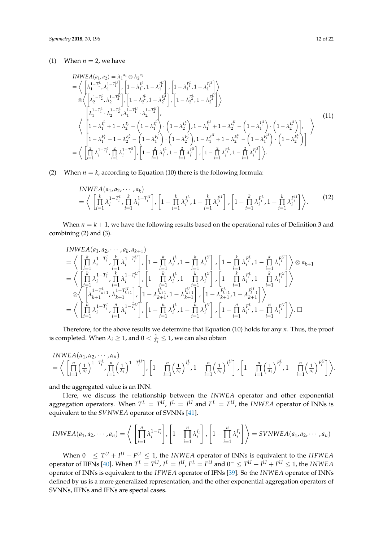#### (1) When  $n = 2$ , we have

$$
INWEA(a_1, a_2) = \lambda_1^{a_1} \otimes \lambda_2^{a_2}
$$
\n
$$
= \left\langle \begin{bmatrix} \lambda_1^{1-T_1^L}, \lambda_1^{1-T_1^U} \\ \lambda_2^{1-T_2^L}, \lambda_2^{1-T_2^U} \end{bmatrix}, \begin{bmatrix} 1 - \lambda_1^{I_1^L}, 1 - \lambda_1^{I_1^U} \\ 1 - \lambda_2^{I_2^L}, 1 - \lambda_2^{I_2^U} \end{bmatrix}, \begin{bmatrix} 1 - \lambda_1^{F_1^L}, 1 - \lambda_1^{F_1^U} \\ 1 - \lambda_2^{F_2^L}, 1 - \lambda_2^{F_2^U} \end{bmatrix} \right\rangle
$$
\n
$$
= \left\langle \begin{bmatrix} \lambda_1^{1-T_1^L} \cdot \lambda_2^{1-T_2^L}, \lambda_1^{1-T_1^U} \cdot \lambda_2^{1-T_2^U} \\ 1 - \lambda_1^{I_1^L} + 1 - \lambda_2^{I_2^L} - \left(1 - \lambda_1^{I_1^L}\right) \cdot \left(1 - \lambda_2^{I_2^L}\right), 1 - \lambda_1^{I_1^U} + 1 - \lambda_2^{I_2^U} - \left(1 - \lambda_1^{I_1^U}\right) \cdot \left(1 - \lambda_2^{I_2^U}\right) \right], \\ 1 - \lambda_1^{F_1^L} + 1 - \lambda_2^{F_2^L} - \left(1 - \lambda_1^{F_1^L}\right) \cdot \left(1 - \lambda_2^{F_2^L}\right), 1 - \lambda_1^{F_1^U} + 1 - \lambda_2^{F_2^U} - \left(1 - \lambda_1^{F_1^U}\right) \cdot \left(1 - \lambda_2^{F_2^U}\right) \right] \right\rangle
$$
\n
$$
= \left\langle \begin{bmatrix} \frac{2}{11} \lambda_1^{1-T_1^L}, \frac{2}{11} \lambda_1^{1-T_1^U}, \frac{2}{11} \lambda_1^{1-T_1^U}, \frac{2}{11} - \frac{2}{11} \lambda_1^{I_1^L}, 1 - \frac{2}{11} \lambda_1^{I_1^U}, 1 - \frac{2}{11} \lambda_1^{I_1^U
$$

(2) When  $n = k$ , according to Equation (10) there is the following formula:

$$
INWEA(a_1, a_2, \cdots, a_k)
$$
\n
$$
= \left\langle \left[ \prod_{i=1}^k \lambda_i^{1-T_i^L}, \prod_{i=1}^k \lambda_i^{1-T_i^U} \right], \left[ 1 - \prod_{i=1}^k \lambda_i^{T_i^L}, 1 - \prod_{i=1}^k \lambda_i^{T_i^U} \right], \left[ 1 - \prod_{i=1}^k \lambda_i^{T_i^L}, 1 - \prod_{i=1}^k \lambda_i^{T_i^U} \right] \right\rangle.
$$
\n(12)

When  $n = k + 1$ , we have the following results based on the operational rules of Definition 3 and combining (2) and (3).

$$
INWEA(a_1, a_2, \dots, a_k, a_{k+1})
$$
\n
$$
= \left\langle \left[ \prod_{i=1}^k \lambda_i^{1-T_i^L} \prod_{i=1}^k \lambda_i^{1-T_i^U} \right], \left[ 1 - \prod_{i=1}^k \lambda_i^{I_i^L}, 1 - \prod_{i=1}^k \lambda_i^{I_i^U} \right], \left[ 1 - \prod_{i=1}^k \lambda_i^{F_i^L}, 1 - \prod_{i=1}^k \lambda_i^{F_i^U} \right] \right\rangle \otimes a_{k+1}
$$
\n
$$
= \left\langle \left[ \prod_{i=1}^k \lambda_i^{1-T_i^L} \prod_{i=1}^k \lambda_i^{1-T_i^U} \right], \left[ 1 - \prod_{i=1}^k \lambda_i^{I_i^L}, 1 - \prod_{i=1}^k \lambda_i^{I_i^U} \right], \left[ 1 - \prod_{i=1}^k \lambda_i^{F_i^L}, 1 - \prod_{i=1}^k \lambda_i^{F_i^U} \right] \right\rangle
$$
\n
$$
\otimes \left\langle \left[ \lambda_{k+1}^{1-T_{k+1}^L}, \lambda_{k+1}^{1-T_{k+1}^U} \right], \left[ 1 - \lambda_{k+1}^{I_{k+1}^L}, 1 - \lambda_{k+1}^{I_{k+1}^U} \right], \left[ 1 - \lambda_{k+1}^{F_{k+1}^L}, 1 - \lambda_{k+1}^{F_{k+1}^U} \right] \right\rangle
$$
\n
$$
= \left\langle \left[ \prod_{i=1}^n \lambda_i^{1-T_i^L}, \prod_{i=1}^n \lambda_i^{1-T_i^U} \right], \left[ 1 - \prod_{i=1}^n \lambda_i^{I_i^L}, 1 - \prod_{i=1}^n \lambda_i^{I_i^U} \right], \left[ 1 - \prod_{i=1}^n \lambda_i^{F_i^L}, 1 - \prod_{i=1}^n \lambda_i^{F_i^U} \right] \right\rangle. \Box
$$

Therefore, for the above results we determine that Equation (10) holds for any *n*. Thus, the proof is completed. When  $\lambda_i \geq 1$ , and  $0 < \frac{1}{\lambda_i} \leq 1$ , we can also obtain

$$
INWEA(\alpha_1, \alpha_2, \cdots, \alpha_n)
$$
\n
$$
= \bigg\langle \left[ \prod_{i=1}^n \left( \frac{1}{\lambda_i} \right)^{1-T_i^L}, \prod_{i=1}^n \left( \frac{1}{\lambda_i} \right)^{1-T_i^U} \right], \left[ 1 - \prod_{i=1}^n \left( \frac{1}{\lambda_i} \right)^{I_i^L}, 1 - \prod_{i=1}^n \left( \frac{1}{\lambda_i} \right)^{I_i^U} \right], \left[ 1 - \prod_{i=1}^n \left( \frac{1}{\lambda_i} \right)^{F_i^L}, 1 - \prod_{i=1}^n \left( \frac{1}{\lambda_i} \right)^{F_i^U} \right] \bigg\rangle.
$$

and the aggregated value is an INN.

Here, we discuss the relationship between the *INWEA* operator and other exponential aggregation operators. When  $T^L = T^U$ ,  $I^L = I^U$  and  $F^L = F^U$ , the *INWEA* operator of INNs is equivalent to the *SVNWEA* operator of SVNNs [\[41\]](#page-20-21).

$$
INWEA(a_1, a_2, \cdots, a_n) = \left\langle \left[ \prod_{i=1}^n \lambda_i^{1-T_i} \right], \left[ 1 - \prod_{i=1}^n \lambda_i^{I_i} \right], \left[ 1 - \prod_{i=1}^n \lambda_i^{F_i} \right] \right\rangle = SVMWEA(a_1, a_2, \cdots, a_n)
$$

When  $0^- \leq T^U + I^U + F^U \leq 1$ , the *INWEA* operator of INNs is equivalent to the *IIFWEA* operator of IIFNs [\[40\]](#page-20-20). When  $T^L=T^U$ ,  $I^L=I^U$ ,  $F^L=F^U$  and  $0^-\leq T^U+I^U+F^U\leq 1$ , the INWEA operator of INNs is equivalent to the *IFWEA* operator of IFNs [\[39\]](#page-20-19). So the *INWEA* operator of INNs defined by us is a more generalized representation, and the other exponential aggregation operators of SVNNs, IIFNs and IFNs are special cases.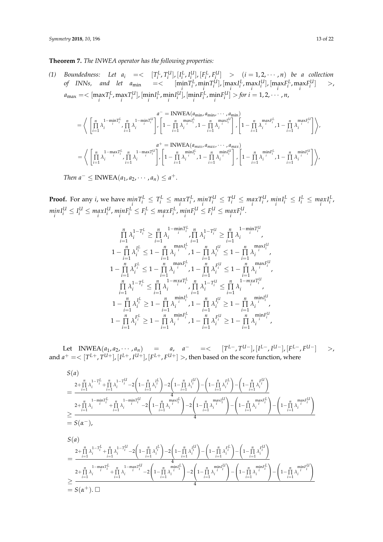**Theorem 7.** *The INWEA operator has the following properties:*

(1) Boundedness: Let  $a_i \equiv \langle [T_i^L, T_i^U], [I_i^L, I_i^U], [F_i^L, F_i^U] \rangle \rangle$   $(i = 1, 2, \cdots, n)$  be a collection of INNs, and let  $a_{\min} = < \left[\min_i T_i^L, \min_i T_i^U\right], \left[\max_i I_i^L, \max_i I_i^U\right], \left[\max_i F_i^L, \max_i I_i^U\right] >$  $a_{\max} = < [\max_i T_i^L, \max_i T_i^U], [\min_i I_i^L, \min_i I_i^U], [\min_i F_i^L, \min_i F_i^U] >$  for  $i = 1, 2, \cdots, n$ ,

$$
= \left\langle \left[ \prod_{i=1}^{n} \lambda_i^{-1-\min T_i^L} \prod_{i=1}^{n} \lambda_i^{-1-\min T_i^U} \right] \right\rangle \left[ 1 - \prod_{i=1}^{n} \lambda_i^{-\max I_i^L} \right] \cdot \left[ 1 - \prod_{i=1}^{n} \lambda_i^{-\max I_i^U} \right] \cdot \left[ 1 - \prod_{i=1}^{n} \lambda_i^{-\max I_i^U} \right] \cdot \left[ 1 - \prod_{i=1}^{n} \lambda_i^{-\max I_i^U} \right] \cdot \left[ 1 - \prod_{i=1}^{n} \lambda_i^{-\max I_i^U} \right] \cdot \left[ 1 - \prod_{i=1}^{n} \lambda_i^{-\max I_i^U} \right] \cdot \left[ 1 - \prod_{i=1}^{n} \lambda_i^{-\max I_i^U} \right] \cdot \left[ 1 - \prod_{i=1}^{n} \lambda_i^{-\max I_i^U} \right] \cdot \left[ 1 - \prod_{i=1}^{n} \lambda_i^{-\min I_i^U} \right] \cdot \left[ 1 - \prod_{i=1}^{n} \lambda_i^{-\min I_i^U} \right] \cdot \left[ 1 - \prod_{i=1}^{n} \lambda_i^{-\min I_i^U} \right] \cdot \left[ 1 - \prod_{i=1}^{n} \lambda_i^{-\min I_i^U} \right] \cdot \left[ 1 - \prod_{i=1}^{n} \lambda_i^{-\min I_i^U} \right] \cdot \left[ 1 - \prod_{i=1}^{n} \lambda_i^{-\min I_i^U} \right] \cdot \left[ 1 - \prod_{i=1}^{n} \lambda_i^{-\min I_i^U} \right] \cdot \left[ 1 - \prod_{i=1}^{n} \lambda_i^{-\min I_i^U} \right] \cdot \left[ 1 - \prod_{i=1}^{n} \lambda_i^{-\min I_i^U} \right] \cdot \left[ 1 - \prod_{i=1}^{n} \lambda_i^{-\min I_i^U} \right] \cdot \left[ 1 - \prod_{i=1}^{n} \lambda_i^{-\min I_i^U} \right] \cdot \left[ 1 - \prod_{i=1}^{n} \lambda_i^{-\min I_i^U} \right] \cdot \left[ 1 - \prod_{i=1}^{n} \lambda_i^{-\min I_i^U} \right] \cdot \left[ 1 - \prod_{i=1}^{n} \lambda_i^{-\min I_i^U} \
$$

**Proof.** For any *i*, we have  $min_i T_i^L \leq T_i^L \leq max_i^L$ ,  $min_i T_i^U \leq T_i^U \leq max_i^U$ ,  $min_i I_i^L \leq I_i^L \leq max_i^L I_i^L$ ,  $min_i I_i^U \leq I_i^U \leq max_i I_i^U$ ,  $min_i F_i^L \leq F_i^L \leq max_i F_i^L$ ,  $min_i F_i^U \leq F_i^U \leq max_i F_i^U$ .

$$
\begin{array}{c} \prod\limits_{i=1}^{n}\lambda_i^{1-T_i^L}\geq\prod\limits_{i=1}^{n}\lambda_i^{1-\min T_i^L}\prod\limits_{i=1}^{n}\lambda_i^{1-T_i^U}\geq\prod\limits_{i=1}^{n}\lambda_i^{1-\min T_i^U}\\ 1-\prod\limits_{i=1}^{n}\lambda_i^{I_i^L}\leq 1-\prod\limits_{i=1}^{n}\lambda_i^{1\min\limits_{i=1}^{n}I_i^{1\min\limits_{i=1}^{n}I_i^{1\min\limits_{i=1}^{n}I_i^{1\min\limits_{i=1}^{n}I_i^{1\min\limits_{i=1}^{n}I_i^{1\min\limits_{i=1}^{n}I_i^{1\min\limits_{i=1}^{n}I_i^{1\min\limits_{i=1}^{n}I_i^{1\min\limits_{i=1}^{n}I_i^{1\min\limits_{i=1}^{n}I_i^{1\min\limits_{i=1}^{n}I_i^{1\min\limits_{i=1}^{n}I_i^{1\min\limits_{i=1}^{n}I_i^{1\min\limits_{i=1}^{n}I_i^{1\min\limits_{i=1}^{n}I_i^{1\min\limits_{i=1}^{n}I_i^{1\min\limits_{i=1}^{n}I_i^{1\min\limits_{i=1}^{n}I_i^{1\min\limits_{i=1}^{n}I_i^{1\min\limits_{i=1}^{n}I_i^{1\min\limits_{i=1}^{n}I_i^{1\min\limits_{i=1}^{n}I_i^{1\min\limits_{i=1}^{n}I_i^{1\min\limits_{i=1}^{n}I_i^{1\min\limits_{i=1}^{n}I_i^{1\min\limits_{i=1}^{n}I_i^{1\min\limits_{i=1}^{n}I_i^{1\min\limits_{i=1}^{n}I_i^{1\min\limits_{i=1}^{n}I_i^{1\min\limits_{i=1}^{n}I_i^{1\min\limits_{i=1}^{n}I_i^{1\min\limits_{i=1}^{n}I_i^{1\min\limits_{i=1}^{n}I_i^{1\min\limits_{i=1}^{n}I_i^{1\min\limits_{i=1}^{n}I_i^{1\min\limits_{i=1}^{n}I_i^{1\min\limits_{i=1}^{n}I_i^{1\min\limits_{i=1}^{n}I_i^{1\min\limits_{i=1}^{n}
$$

 $\text{Let } \text{INWEA}(a_1, a_2, \cdots, a_n) = a, \quad a^- = \langle [T^L^-, T^{U^-}], [I^L^-, I^{U^-}], [F^L^-, F^{U^-}] \rangle$ and  $a^+ = < [T^{L+}, T^{U+}], [I^{L+}, I^{U+}], [F^{L+}, F^{U+}] >$ , then based on the score function, where

$$
\begin{split} &S(a)\\&=\frac{2+\prod\limits_{i=1}^{n}\lambda_i^{1-T_i^L}+\prod\limits_{i=1}^{n}\lambda_i^{1-T_i^L}-2\bigg(1-\prod\limits_{i=1}^{n}\lambda_i^{I_i^L}\bigg)-2\bigg(1-\prod\limits_{i=1}^{n}\lambda_i^{I_i^U}\bigg)-\bigg(1-\prod\limits_{i=1}^{n}\lambda_i^{F_i^L}\bigg)-\bigg(1-\prod\limits_{i=1}^{n}\lambda_i^{F_i^U}\bigg)\\&=\frac{2+\prod\limits_{i=1}^{n}\lambda_i^{1-\min T_i^L}+\prod\limits_{i=1}^{n}\lambda_i^{1-\min T_i^L}-2\bigg(1-\prod\limits_{i=1}^{n}\lambda_i^{1-\min T_i^L}\bigg)-2\bigg(1-\prod\limits_{i=1}^{n}\lambda_i^{1-\min T_i^L}\bigg)-\bigg(1-\prod\limits_{i=1}^{n}\lambda_i^{1-\min T_i^L}\bigg)-\bigg(1-\prod\limits_{i=1}^{n}\lambda_i^{1-\min T_i^L}\bigg)\\&=\frac{2+\prod\limits_{i=1}^{n}\lambda_i^{1-T_i^L}+\prod\limits_{i=1}^{n}\lambda_i^{1-T_i^L}-2\bigg(1-\prod\limits_{i=1}^{n}\lambda_i^{I_i^L}\bigg)-2\bigg(1-\prod\limits_{i=1}^{n}\lambda_i^{H_i^U}\bigg)-\bigg(1-\prod\limits_{i=1}^{n}\lambda_i^{F_i^L}\bigg)-\bigg(1-\prod\limits_{i=1}^{n}\lambda_i^{F_i^U}\bigg)\\&=\frac{2+\prod\limits_{i=1}^{n}\lambda_i^{1-T_i^L}+\prod\limits_{i=1}^{n}\lambda_i^{1-\min T_i^L}-2\bigg(1-\prod\limits_{i=1}^{n}\lambda_i^{1-\min T_i^L}\bigg)-2\bigg(1-\prod\limits_{i=1}^{n}\lambda_i^{1-\min T_i^U}\bigg)-\bigg(1-\prod\limits_{i=1}^{n}\lambda_i^{1-\min T_i^L}\bigg)-\bigg(1-\prod\limits_{i=1}^{n}\lambda_i^{1-\min T_i^L}\bigg)-\bigg(1-\prod\limits_{i=1}^{n}\lambda_i^{1-\min T_i^L}\bigg)-\bigg(1-\prod\limits_{i=1}^{n}\lambda_i^{1-\min T_i^L}\bigg)-\bigg(1-\prod\limits_{i
$$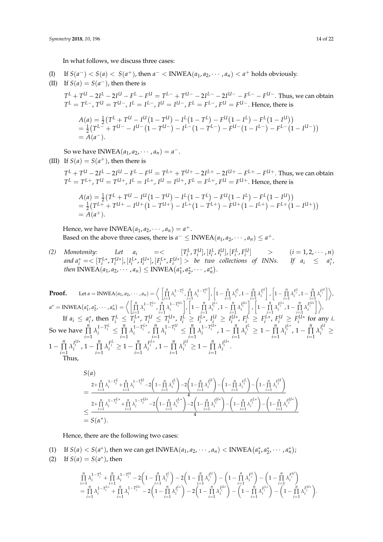In what follows, we discuss three cases:

(I) If 
$$
S(a^-) < S(a) < S(a^+)
$$
, then  $a^- < \text{INWEA}(a_1, a_2, \dots, a_n) < a^+$  holds obviously.

(II) If 
$$
S(a) = S(a^-)
$$
, then there is

 $T^L + T^{U} - 2I^{L} - 2I^{U} - F^{L} - F^{U} = T^{L-} + T^{U-} - 2I^{L-} - 2I^{U-} - F^{L-} - F^{U-}.$  Thus, we can obtain  $T^L=T^{L-}$ ,  $T^U=T^{U-}$ ,  $I^L=I^{L-}$ ,  $I^U=I^{U-}$ ,  $F^L=F^{L-}$ ,  $F^U=F^{U-}$ . Hence, there is

$$
A(a) = \frac{1}{2} (T^{L} + T^{U} - I^{U} (1 - T^{U}) - I^{L} (1 - T^{L}) - F^{U} (1 - I^{L}) - F^{L} (1 - I^{U}))
$$
  
=  $\frac{1}{2} (T^{L-} + T^{U-} - I^{U-} (1 - T^{U-}) - I^{L-} (1 - T^{L-}) - F^{U-} (1 - I^{L-}) - F^{L-} (1 - I^{U-}))$   
=  $A(a^{-}).$ 

So we have INWEA $(a_1, a_2, \dots, a_n) = a^{-}$ . (III) If  $S(a) = S(a^+)$ , then there is

 $T^L + T^{U} - 2I^L - 2I^{U} - F^L - F^{U} = T^{L+} + T^{U+} - 2I^{L+} - 2I^{U+} - F^{L+} - F^{U+}.$  Thus, we can obtain  $T^L=T^{L+}$ ,  $T^U=T^{U+}$ ,  $I^L=I^{L+}$ ,  $I^U=I^{U+}$ ,  $F^L=F^{L+}$ ,  $F^U=F^{U+}$ . Hence, there is

$$
A(a) = \frac{1}{2} (T^{L} + T^{U} - I^{U} (1 - T^{U}) - I^{L} (1 - T^{L}) - F^{U} (1 - I^{L}) - F^{L} (1 - I^{U}))
$$
  
=  $\frac{1}{2} (T^{L+} + T^{U+} - I^{U+} (1 - T^{U+}) - I^{L+} (1 - T^{L+}) - F^{U+} (1 - I^{L+}) - F^{L+} (1 - I^{U+}))$   
=  $A(a^{+}).$ 

Hence, we have INWEA $(a_1, a_2, \cdots, a_n) = a^+$ . Based on the above three cases, there is  $a^- \leq \text{INWEA}(a_1, a_2, \dots, a_n) \leq a^+$ .

(2) Monotonity: Let  $a_i = \langle [T_i^L, T_i^U], [I_i^L, I_i^U], [F_i^L, F_i^U] \rangle$   $(i = 1, 2, \cdots, n)$ and  $a_i^* = \langle [T_i^{L*}, T_i^{U*}], [I_i^{L*}, I_i^{U*}], [F_i^{L*}, F_i^{U*}] > be two collections of INNs. If  $a_i \leq a_i^*$ ,$ *then* INWEA $(a_1, a_2, \dots, a_n) \leq \text{INWEA}(a_1^*, a_2^*, \dots, a_n^*)$ .

**Proof.** Let  $a = \text{INWEA}(a_1, a_2, \dots, a_n) = \left\langle \prod_{i=1}^{n} \lambda_i^{1-T_i^L}, \prod_{i=1}^{n} \lambda_i^{1-T_i^L} \right\rangle$  $\left[1 - \prod_{i=1}^{n} \lambda_i^{I_i^L}, 1 - \prod_{i=1}^{n} \lambda_i^{I_i^U}\right]$  $\left[1 - \prod_{i=1}^n \lambda_i^{F_i^L}, 1 - \prod_{i=1}^n \lambda_i^{F_i^U}\right\}\right$  $a^* = \text{INWEA}(a_1^*, a_2^*, \cdots, a_n^*) = \left\langle \left[ \prod_{i=1}^n \lambda_i^{1-T_i^{L*}}, \prod_{i=1}^n \lambda_i^{1-T_i^{L*}} \right] \right\rangle$  $\left[1 - \prod_{i=1}^{n} \lambda_i^{I_i^{L*}}, 1 - \prod_{i=1}^{n} \lambda_i^{I_i^{U*}}\right]$  $\left[1 - \prod_{i=1}^n \lambda_i^{F_i^{L*}}, 1 - \prod_{i=1}^n \lambda_i^{F_i^{U*}}\right]\right),$ If  $a_i \le a_i^*$ , then  $T_i^L \le T_i^{L*}$ ,  $T_i^U \le T_i^{U*}$ ,  $I_i^L \ge I_i^{L*}$ ,  $I_i^U \ge I_i^{U*}$ ,  $F_i^L \ge F_i^{L*}$ ,  $F_i^U \ge F_i^{U*}$  for any *i*. So we have *n* ∏  $\prod_{i=1}^{n} \lambda_i^{1-T_i^L} \leq \prod_{i=1}^{n}$  $\prod_{i=1}^n \lambda_i^{1-T_i^{L*}}$ ,  $\prod_{i=1}^n$  $\prod_{i=1}^{n} \lambda_i^{1-T_i^U} \le \prod_{i=1}^{n}$  $\prod_{i=1}^{n} \lambda_i^{1-T_i^{U*}}$ ,  $1-\prod_{i=1}^{n}$  $\prod_{i=1}^{n} \lambda_i^{I_i^L} \geq 1 - \prod_{i=1}^{n}$  $\prod_{i=1}^{n} \lambda_i^{I_i^{L*}}$ , 1 –  $\prod_{i=1}^{n}$  $\prod_{i=1}^n \lambda_i^{I_i^U} \geq$  $1-\prod_{i=1}^n$  $\prod_{i=1}^{n} \lambda_i^{I_i^{U*}}$ , 1 –  $\prod_{i=1}^{n}$  $\prod_{i=1}^{n} \lambda_i^{F_i^L} \ge 1 - \prod_{i=1}^{n}$  $\prod_{i=1}^{n} \lambda_i^{F_i^{L*}}$ , 1 –  $\prod_{i=1}^{n}$  $\prod_{i=1}^{n} \lambda_i^{I_i^U} \ge 1 - \prod_{i=1}^{n}$  $\prod_{i=1}^n \lambda_i^{I_i^{U*}}$ . Thus,

$$
\begin{aligned} &S(a) \\ &= \frac{2+\prod\limits_{i=1}^{n}\lambda_i^{1-T_i^L}+\prod\limits_{i=1}^{n}\lambda_i^{1-T_i^U}-2\bigg(1-\prod\limits_{i=1}^{n}\lambda_i^{I_i^L}\bigg)-2\bigg(1-\prod\limits_{i=1}^{n}\lambda_i^{I_i^U}\bigg)-\bigg(1-\prod\limits_{i=1}^{n}\lambda_i^{F_i^L}\bigg)-\bigg(1-\prod\limits_{i=1}^{n}\lambda_i^{F_i^L}\bigg) \\ &= \frac{2+\prod\limits_{i=1}^{n}\lambda_i^{1-T_i^L*}+\prod\limits_{i=1}^{n}\lambda_i^{1-T_i^U*}-2\bigg(1-\prod\limits_{i=1}^{n}\lambda_i^{I_i^L*}\bigg)-2\bigg(1-\prod\limits_{i=1}^{n}\lambda_i^{I_i^U*}\bigg)-\bigg(1-\prod\limits_{i=1}^{n}\lambda_i^{F_i^L*}\bigg)-\bigg(1-\prod\limits_{i=1}^{n}\lambda_i^{F_i^L*}\bigg) \\ &= S(\alpha^*). \end{aligned}
$$

Hence, there are the following two cases:

(1) If 
$$
S(a) < S(a^*)
$$
, then we can get  $INWEA(a_1, a_2, \cdots, a_n) < INWEA(a_1^*, a_2^*, \cdots, a_n^*)$ ;

(2) If  $S(a) = S(a^*)$ , then

$$
\begin{array}{l} {\prod\limits_{i = 1}^n {\lambda _i^{1 - T_i^L} + \prod\limits_{i = 1}^n {\lambda _i^{1 - T_i^U} - 2\bigg( {1 - \prod\limits_{i = 1}^n {\lambda _i^{I_i^L}} } \bigg) - 2\bigg( {1 - \prod\limits_{i = 1}^n {\lambda _i^{I_i^U}} } \bigg) - \bigg( {1 - \prod\limits_{i = 1}^n {\lambda _i^{F_i^L} } } \bigg) - \left( {1 - \prod\limits_{i = 1}^n {\lambda _i^{F_i^L} } } \right) - \left( {1 - \prod\limits_{i = 1}^n {\lambda _i^{F_i^L} } } \right)\\ = {\prod\limits_{i = 1}^n {\lambda _i^{1 - T_i^{L*}} + \prod\limits_{i = 1}^n {\lambda _i^{1 - T_i^{L*}} - 2\bigg( {1 - \prod\limits_{i = 1}^n {\lambda _i^{I_i^{L*}} } } \bigg) - 2\bigg( {1 - \prod\limits_{i = 1}^n {\lambda _i^{I_i^{U*}} } } \bigg) - \left( {1 - \prod\limits_{i = 1}^n {\lambda _i^{F_i^{L*}} } } \right) - \left( {1 - \prod\limits_{i = 1}^n {\lambda _i^{F_i^{L*}} } } \right). \end{array}
$$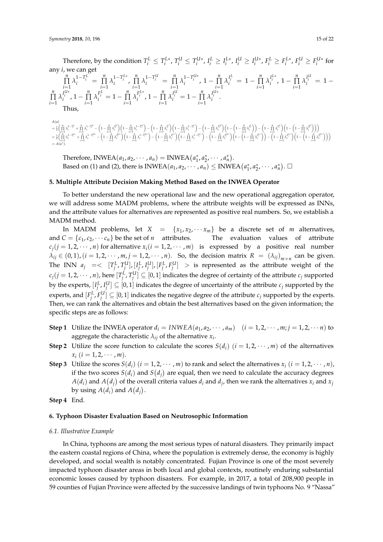Therefore, by the condition  $T_i^L \leq T_i^{L*}$ ,  $T_i^U \leq T_i^{U*}$ ,  $I_i^L \geq I_i^{L*}$ ,  $I_i^U \geq I_i^{U*}$ ,  $F_i^L \geq F_i^{L*}$ ,  $F_i^U \geq F_i^{U*}$  for any *i*, we can get<br>  $\prod_{i=1}^{n} \lambda_i^{1-T_i^L} =$  $\prod_{i=1}^{n} \lambda_i^{1-T_i^L} = \prod_{i=1}^{n}$  $\prod_{i=1}^n \lambda_i^{1-T_i^{L*}}$ ,  $\prod_{i=1}^n$  $\prod_{i=1}^{n} \lambda_i^{1-T_i^U} = \prod_{i=1}^{n}$  $\prod_{i=1}^{n} \lambda_i^{1-T_i^{U*}}$ , 1 –  $\prod_{i=1}^{n}$  $\prod_{i=1}^{n} \lambda_i^{I_i^L} = 1 - \prod_{i=1}^{n}$  $\prod_{i=1}^{n} \lambda_i^{I_i^{L*}}$ , 1 –  $\prod_{i=1}^{n}$  $\prod_{i=1}^{n} \lambda_i^{I_i^U} = 1$ *n* ∏  $\prod_{i=1}^{n} \lambda_i^{I_i^{U*}}$ , 1 –  $\prod_{i=1}^{n}$  $\prod_{i=1}^{n} \lambda_i^{F_i^L} = 1 - \prod_{i=1}^{n}$  $\prod_{i=1}^{n} \lambda_i^{F_i^{L*}}$ , 1 –  $\prod_{i=1}^{n}$  $\prod_{i=1}^{n} \lambda_i^{I_i^U} = 1 - \prod_{i=1}^{n}$ 

$$
\begin{array}{l} {\displaystyle\prod_{i=1}^{n}\lambda_{i}^{l^{l*}},1-\prod_{i=1}^{n}\lambda_{i}^{F_{i}^{L}}=1-\prod_{i=1}^{n}\lambda_{i}^{F_{i}^{L*}},1-\prod_{i=1}^{n}\lambda_{i}^{I_{i}^{U}}=1-\prod_{i=1}^{n}\lambda_{i}^{l^{l*}}}.\\ \text{Thus,} \\ {\scriptstyle\quad \ \ \, \Delta(a)}\\ {\scriptstyle\quad \ \ \, =\frac{1}{2}\left(\prod\limits_{i=1}^{n}\lambda_{i}^{1-T_{i}^L}+\prod\limits_{i=1}^{n}\lambda_{i}^{1-T_{i}^U}-\left(1-\prod\limits_{i=1}^{n}\lambda_{i}^{l^{U}}\right)\left(1-\prod\limits_{i=1}^{n}\lambda_{i}^{1-T_{i}^U}\right)-\left(1-\prod\limits_{i=1}^{n}\lambda_{i}^{l^{U}}\right)\left(1-\prod\limits_{i=1}^{n}\lambda_{i}^{1-T_{i}^L}\right)-\left(1-\prod\limits_{i=1}^{n}\lambda_{i}^{F_{i}^U}\right)\left(1-\left(1-\prod\limits_{i=1}^{n}\lambda_{i}^{F_{i}^U}\right)\right)-\left(1-\prod\limits_{i=1}^{n}\lambda_{i}^{F_{i}^U}\right)\left(1-\left(1-\prod\limits_{i=1}^{n}\lambda_{i}^{F_{i}^U}\right)\right)-\left(1-\prod\limits_{i=1}^{n}\lambda_{i}^{F_{i}^U}\right)\left(1-\left(1-\prod\limits_{i=1}^{n}\lambda_{i}^{F_{i}^U}\right)\right)\right)}\\ {\scriptstyle \ \ \, =\frac{1}{2}\left(\prod\limits_{i=1}^{n}\lambda_{i}^{1-T_{i}^L}+\prod\limits_{i=1}^{n}\lambda_{i}^{1-T_{i}^U}-\left(1-\prod\limits_{i=1}^{n}\lambda_{i}^{H_{i}^U}\right)\left(1-\prod\limits_{i=1}^{n}\lambda_{i}^{1-T_{i}^U}\right)-\left(1-\prod\limits_{i=1}^{n}\lambda_{i}^{1-T_{i}^U}\right)-\left(1-\prod\limits_{i=1}^{n}\lambda_{i}^{1-T_{i}^U}\right)-\left(1-\prod\limits_{i=1}^{n}\lambda_{i}^{F_{i}^U}\right)\left(1-\left(1-\
$$

Therefore, INWEA $(a_1, a_2, \dots, a_n) = \text{INWEA}(a_1^*, a_2^*, \dots, a_n^*)$ . Based on (1) and (2), there is INWEA $(a_1, a_2, \cdots, a_n) \leq \text{INWEA}(a_1^*, a_2^*, \cdots, a_n^*)$ .

#### <span id="page-14-0"></span>**5. Multiple Attribute Decision Making Method Based on the INWEA Operator**

To better understand the new operational law and the new operational aggregation operator, we will address some MADM problems, where the attribute weights will be expressed as INNs, and the attribute values for alternatives are represented as positive real numbers. So, we establish a MADM method.

In MADM problems, let  $X = \{x_1, x_2, \dots, x_m\}$  be a discrete set of *m* alternatives, and  $C = \{c_1, c_2, \dots, c_n\}$  be the set of *n* attributes. The evaluation values of attribute  $c_j$ ( $j = 1, 2, \dots, n$ ) for alternative  $x_i$ ( $i = 1, 2, \dots, m$ ) is expressed by a positive real number  $\lambda_{ij} \in (0,1)$ ,  $(i = 1, 2, \cdots, m, j = 1, 2, \cdots, n)$ . So, the decision matrix  $R = (\lambda_{ij})_{m \times n}$  can be given. The INN  $a_j = \langle [T_j^L, T_j^U], [I_j^L, I_j^U], [F_j^L, F_j^U] \rangle$  is represented as the attribute weight of the  $c_j$ ( $j = 1, 2, \cdots, n$ ), here  $[T_j^L, T_j^U] \subseteq [0, 1]$  indicates the degree of certainty of the attribute  $c_j$  supported by the experts,  $[I_j^L, I_j^U] \subseteq [0,1]$  indicates the degree of uncertainty of the attribute  $c_j$  supported by the experts, and  $[F_j^L, F_j^U] \subseteq [0, 1]$  indicates the negative degree of the attribute  $c_j$  supported by the experts. Then, we can rank the alternatives and obtain the best alternatives based on the given information; the specific steps are as follows:

- **Step 1** Utilize the INWEA operator  $d_i = INWEA(a_1, a_2, \dots, a_m)$   $(i = 1, 2, \dots, m; j = 1, 2, \dots, n)$  to aggregate the characteristic  $\lambda_{ij}$  of the alternative  $x_i$ .
- **Step 2** Utilize the score function to calculate the scores  $S(d_i)$  ( $i = 1, 2, \cdots, m$ ) of the alternatives  $x_i$  (*i* = 1, 2,  $\cdots$  , *m*).
- **Step 3** Utilize the scores  $S(d_i)$   $(i = 1, 2, \dots, m)$  to rank and select the alternatives  $x_i$   $(i = 1, 2, \dots, n)$ , if the two scores  $S(d_i)$  and  $S(d_j)$  are equal, then we need to calculate the accuracy degrees  $A(d_i)$  and  $A(d_j)$  of the overall criteria values  $d_i$  and  $d_j$ , then we rank the alternatives  $x_i$  and  $x_j$ by using  $A(d_i)$  and  $A(d_j)$ .
- **Step 4** End.

#### <span id="page-14-1"></span>**6. Typhoon Disaster Evaluation Based on Neutrosophic Information**

#### *6.1. Illustrative Example*

In China, typhoons are among the most serious types of natural disasters. They primarily impact the eastern coastal regions of China, where the population is extremely dense, the economy is highly developed, and social wealth is notably concentrated. Fujian Province is one of the most severely impacted typhoon disaster areas in both local and global contexts, routinely enduring substantial economic losses caused by typhoon disasters. For example, in 2017, a total of 208,900 people in 59 counties of Fujian Province were affected by the successive landings of twin typhoons No. 9 "Nassa"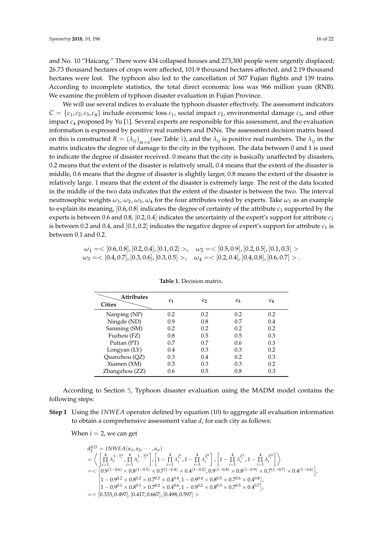and No. 10 "Haicang." There were 434 collapsed houses and 273,300 people were urgently displaced; 26.73 thousand hectares of crops were affected, 101.9 thousand hectares affected, and 2.19 thousand hectares were lost. The typhoon also led to the cancellation of 507 Fujian flights and 139 trains. According to incomplete statistics, the total direct economic loss was 966 million yuan (RNB). We examine the problem of typhoon disaster evaluation in Fujian Province.

We will use several indices to evaluate the typhoon disaster effectively. The assessment indicators  $C = \{c_1, c_2, c_3, c_4\}$  include economic loss  $c_1$ , social impact  $c_2$ , environmental damage  $c_3$ , and other impact *c*<sup>4</sup> proposed by Yu [\[1\]](#page-19-0). Several experts are responsible for this assessment, and the evaluation information is expressed by positive real numbers and INNs. The assessment decision matrix based on this is constructed  $R = (\lambda_{ij})_{m \times n}$  (see Table [1\)](#page-15-0), and the  $\lambda_{ij}$  is positive real numbers. The  $\lambda_{ij}$  in the matrix indicates the degree of damage to the city in the typhoon. The data between 0 and 1 is used to indicate the degree of disaster received. 0 means that the city is basically unaffected by disasters, 0.2 means that the extent of the disaster is relatively small, 0.4 means that the extent of the disaster is middle, 0.6 means that the degree of disaster is slightly larger, 0.8 means the extent of the disaster is relatively large. 1 means that the extent of the disaster is extremely large. The rest of the data located in the middle of the two data indicates that the extent of the disaster is between the two. The interval neutrosophic weights  $\omega_1$ ,  $\omega_2$ ,  $\omega_3$ ,  $\omega_4$  for the four attributes voted by experts. Take  $\omega_1$  as an example to explain its meaning,  $[0.6, 0.8]$  indicates the degree of certainty of the attribute  $c_1$  supported by the experts is between 0.6 and 0.8, [0.2, 0.4] indicates the uncertainty of the expert's support for attribute *c*<sup>1</sup> is between 0.2 and 0.4, and  $[0.1, 0.2]$  indicates the negative degree of expert's support for attribute  $c_1$  is between 0.1 and 0.2.

# <span id="page-15-0"></span> $\omega_1 = \langle [0.6, 0.8], [0.2, 0.4], [0.1, 0.2] \rangle$ ,  $\omega_2 = \langle [0.5, 0.9], [0.2, 0.5], [0.1, 0.3] \rangle$  $\omega_3 = \langle [0.4, 0.7], [0.3, 0.6], [0.3, 0.5] \rangle$ ,  $\omega_4 = \langle [0.2, 0.4], [0.4, 0.8], [0.6, 0.7] \rangle$ .

| <b>Attributes</b><br><b>Cities</b> | $c_{1}$ | C7  | $c_3$ | $c_4$ |
|------------------------------------|---------|-----|-------|-------|
| Nanping (NP)                       | 0.2     | 0.2 | 0.2   | 0.2   |
| Ningde (ND)                        | 0.9     | 0.8 | 0.7   | 0.4   |
| Sanming (SM)                       | 0.2     | 0.2 | 0.2   | 0.2   |
| Fuzhou (FZ)                        | 0.8     | 0.5 | 0.5   | 0.3   |
| Putian (PT)                        | 0.7     | 0.7 | 0.6   | 0.3   |
| Longyan (LY)                       | 0.4     | 0.3 | 0.3   | 0.2   |
| Quanzhou (QZ)                      | 0.3     | 0.4 | 0.2   | 0.3   |
| Xiamen (XM)                        | 0.3     | 0.3 | 0.3   | 0.2   |
| Zhangzhou (ZZ)                     | 0.6     | 0.5 | 0.8   | 0.3   |

**Table 1.** Decision matrix.

According to Section [5,](#page-14-0) Typhoon disaster evaluation using the MADM model contains the following steps:

**Step 1** Using the *INWEA* operator defined by equation (10) to aggregate all evaluation information to obtain a comprehensive assessment value *d<sup>i</sup>* for each city as follows:

When  $i = 2$ , we can get

$$
\begin{array}{l} d^{ND}_{2} = {\small INWEA}(\alpha_{1},\alpha_{2},\cdots,\alpha_{n}) \\ = \bigg\langle\left[\prod_{i=1}^{4}\lambda_{i}^{1-T^{L}_{i}},\prod_{i=1}^{4}\lambda_{i}^{1-T^{L}_{i}}\right],\left[1-\prod_{i=1}^{4}\lambda_{i}^{I^{L}_{i}},1-\prod_{i=1}^{4}\lambda_{i}^{I^{L}_{i}}\right],\left[1-\prod_{i=1}^{4}\lambda_{i}^{F^{L}_{i}},1-\prod_{i=1}^{4}\lambda_{i}^{F^{L}_{i}}\right] \bigg\rangle \\ = < \left[0.9^{(1-0.6)}\times0.8^{(1-0.5)}\times0.7^{(1-0.4)}\times0.4^{(1-0.2)},0.9^{(1-0.8)}\times0.8^{(1-0.9)}\times0.7^{(1-0.7)}\times0.4^{(1-0.4)}\right],\\ \left[1-0.9^{0.2}\times0.8^{0.2}\times0.7^{0.3}\times0.4^{0.4},1-0.9^{0.4}\times0.8^{0.5}\times0.7^{0.6}\times0.4^{0.8}\right],\\ \left[1-0.9^{0.1}\times0.8^{0.1}\times0.7^{0.3}\times0.4^{0.6},1-0.9^{0.2}\times0.8^{0.3}\times0.7^{0.5}\times0.4^{0.7}\right],\\ = < \left[0.333,0.497\right],\left[0.417,0.667\right],\left[0.498,0.597\right] > \end{array}
$$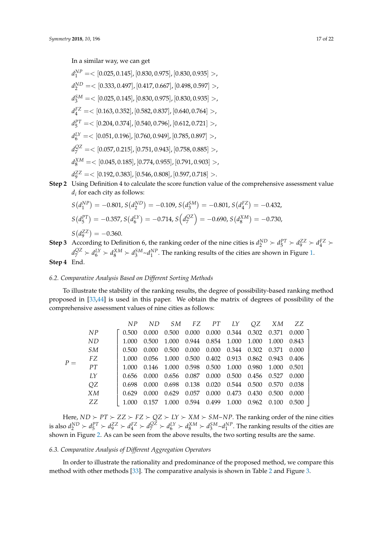In a similar way, we can get

 $d_1^{NP} = < [0.025, 0.145]$ ,  $[0.830, 0.975]$ ,  $[0.830, 0.935] >$ ,  $d_2^{ND} = <[0.333, 0.497], [0.417, 0.667], [0.498, 0.597]>,$ *d SM* <sup>3</sup> =< [0.025, 0.145], [0.830, 0.975], [0.830, 0.935] >, *d FZ* <sup>4</sup> =< [0.163, 0.352], [0.582, 0.837], [0.640, 0.764] >, *d PT* <sup>5</sup> =< [0.204, 0.374], [0.540, 0.796], [0.612, 0.721] >, *d LY* <sup>6</sup> =< [0.051, 0.196], [0.760, 0.949], [0.785, 0.897] >, *d QZ* <sup>7</sup> =< [0.057, 0.215], [0.751, 0.943], [0.758, 0.885] >, *d XM* <sup>8</sup> =< [0.045, 0.185], [0.774, 0.955], [0.791, 0.903] >,  $d_9^{ZZ} = <[0.192, 0.383]$ ,  $[0.546, 0.808]$ ,  $[0.597, 0.718] >$ .

**Step 2** Using Definition 4 to calculate the score function value of the comprehensive assessment value *di* for each city as follows:

$$
S(d_1^{NP}) = -0.801, S(d_2^{ND}) = -0.109, S(d_3^{SM}) = -0.801, S(d_4^{FZ}) = -0.432,
$$
  
\n
$$
S(d_5^{PT}) = -0.357, S(d_6^{LY}) = -0.714, S(d_7^{QZ}) = -0.690, S(d_8^{XM}) = -0.730,
$$
  
\n
$$
S(d_9^{ZZ}) = -0.360.
$$

**Step 3** According to Definition 6, the ranking order of the nine cities is  $d_2^{ND} > d_5^{PT} > d_9^{ZZ} > d_4^{FZ} >$  $d_7^{QZ} \succ d_6^{LY} \succ d_8^{XM} \succ d_3^{SM} \sim d_1^{NP}$ . The ranking results of the cities are shown in Figure [1.](#page-17-0) **Step 4** End.

#### *6.2. Comparative Analysis Based on Different Sorting Methods*

To illustrate the stability of the ranking results, the degree of possibility-based ranking method proposed in [\[33,](#page-20-13)[44\]](#page-21-2) is used in this paper. We obtain the matrix of degrees of possibility of the comprehensive assessment values of nine cities as follows:

|       |    | NP.   | ND.   |                                     |       | SM FZ PT LY       |                                                 | OZ.               | XМ    | ZZ    |
|-------|----|-------|-------|-------------------------------------|-------|-------------------|-------------------------------------------------|-------------------|-------|-------|
| $P =$ | NP | 0.500 | 0.000 | 0.500                               | 0.000 | 0.000 0.344       |                                                 | 0.302 0.371 0.000 |       |       |
|       | ND | 1.000 | 0.500 | 1.000                               |       | 0.944 0.854 1.000 |                                                 | 1.000 1.000       |       | 0.843 |
|       | SM | 0.500 | 0.000 | 0.500                               | 0.000 |                   | 0.000 0.344 0.302 0.371                         |                   |       | 0.000 |
|       | FZ | 1.000 | 0.056 | 1.000                               |       |                   | 0.500 0.402 0.913 0.862 0.943                   |                   |       | 0.406 |
|       | PT | 1.000 | 0.146 | 1.000 0.598 0.500 1.000 0.980 1.000 |       |                   |                                                 |                   |       | 0.501 |
|       | LY | 0.656 | 0.000 |                                     |       |                   | $0.656$ $0.087$ $0.000$ $0.500$ $0.456$ $0.527$ |                   |       | 0.000 |
|       | QZ | 0.698 | 0.000 | $0.698$ 0.138                       |       |                   | 0.020 0.544 0.500 0.570                         |                   |       | 0.038 |
|       | XМ | 0.629 | 0.000 | 0.629                               | 0.057 | 0.000             | 0.473                                           | 0.430             | 0.500 | 0.000 |
|       | ZZ |       | 0.157 | 1.000                               | 0.594 | 0.499             | 1.000                                           | $0.962$ $0.100$   |       | 0.500 |

Here,  $ND \succ PT \succ ZZ \succ FZ \succ QZ \succ LY \succ XM \succ SM\sim NP$ . The ranking order of the nine cities is also  $d_2^{ND} \succ d_5^{PT} \succ d_9^{ZZ} \succ d_4^{FZ} \succ d_7^{QZ} \succ d_6^{LY} \succ d_8^{XM} \succ d_3^{SM} \sim d_1^{NP}$ . The ranking results of the cities are shown in Figure [2.](#page-17-1) As can be seen from the above results, the two sorting results are the same.

#### *6.3. Comparative Analysis of Different Aggregation Operators*

In order to illustrate the rationality and predominance of the proposed method, we compare this method with other methods [\[33\]](#page-20-13). The comparative analysis is shown in Table [2](#page-17-2) and Figure [3.](#page-17-3)

1  $\overline{1}$  $\overline{1}$  $\overline{1}$  $\overline{1}$  $\overline{1}$  $\overline{1}$  $\overline{1}$  $\overline{1}$  $\overline{1}$  $\overline{1}$  $\overline{1}$  $\overline{1}$  $\overline{1}$  $\overline{1}$  $\overline{1}$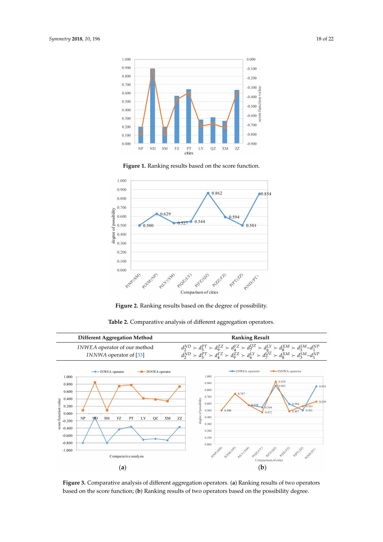<span id="page-17-0"></span>

**Figure 1.** Ranking results based on the score function.

<span id="page-17-1"></span>

**Figure 2.** Ranking results based on the degree of possibility.

<span id="page-17-3"></span><span id="page-17-2"></span>

**Table 2.** Comparative analysis of different aggregation operators.

**Figure 3.** Comparative analysis of different aggregation operators. (**a**) Ranking results of two operators based on the score function; (**b**) Ranking results of two operators based on the possibility degree.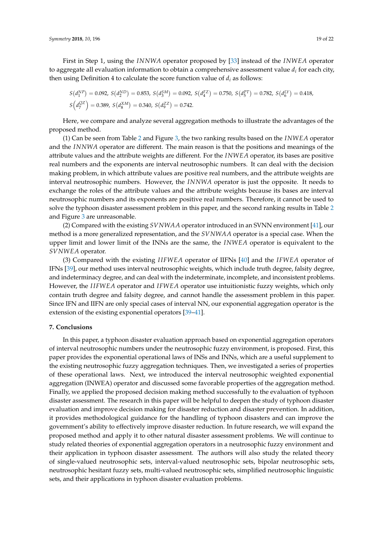First in Step 1, using the *INNWA* operator proposed by [\[33\]](#page-20-13) instead of the *INWEA* operator to aggregate all evaluation information to obtain a comprehensive assessment value *d<sup>i</sup>* for each city, then using Definition 4 to calculate the score function value of *d<sup>i</sup>* as follows:

$$
S(d_1^{NP}) = 0.092, S(d_2^{ND}) = 0.853, S(d_3^{SM}) = 0.092, S(d_4^{FZ}) = 0.750, S(d_5^{FT}) = 0.782, S(d_6^{LY}) = 0.418,
$$
  
\n
$$
S(d_7^{OZ}) = 0.389, S(d_8^{XM}) = 0.340, S(d_9^{ZZ}) = 0.742.
$$

Here, we compare and analyze several aggregation methods to illustrate the advantages of the proposed method.

(1) Can be seen from Table [2](#page-17-2) and Figure [3,](#page-17-3) the two ranking results based on the *INWEA* operator and the *INNWA* operator are different. The main reason is that the positions and meanings of the attribute values and the attribute weights are different. For the *INWEA* operator, its bases are positive real numbers and the exponents are interval neutrosophic numbers. It can deal with the decision making problem, in which attribute values are positive real numbers, and the attribute weights are interval neutrosophic numbers. However, the *INNWA* operator is just the opposite. It needs to exchange the roles of the attribute values and the attribute weights because its bases are interval neutrosophic numbers and its exponents are positive real numbers. Therefore, it cannot be used to solve the typhoon disaster assessment problem in this paper, and the second ranking results in Table [2](#page-17-2) and Figure [3](#page-17-3) are unreasonable.

(2) Compared with the existing *SVNWAA* operator introduced in an SVNN environment [\[41\]](#page-20-21), our method is a more generalized representation, and the *SVNWAA* operator is a special case. When the upper limit and lower limit of the INNs are the same, the *INWEA* operator is equivalent to the *SVNWEA* operator.

(3) Compared with the existing *I IFWEA* operator of IIFNs [\[40\]](#page-20-20) and the *IFWEA* operator of IFNs [\[39\]](#page-20-19), our method uses interval neutrosophic weights, which include truth degree, falsity degree, and indeterminacy degree, and can deal with the indeterminate, incomplete, and inconsistent problems. However, the *I IFWEA* operator and *IFWEA* operator use intuitionistic fuzzy weights, which only contain truth degree and falsity degree, and cannot handle the assessment problem in this paper. Since IFN and IIFN are only special cases of interval NN, our exponential aggregation operator is the extension of the existing exponential operators [\[39–](#page-20-19)[41\]](#page-20-21).

#### <span id="page-18-0"></span>**7. Conclusions**

In this paper, a typhoon disaster evaluation approach based on exponential aggregation operators of interval neutrosophic numbers under the neutrosophic fuzzy environment, is proposed. First, this paper provides the exponential operational laws of INSs and INNs, which are a useful supplement to the existing neutrosophic fuzzy aggregation techniques. Then, we investigated a series of properties of these operational laws. Next, we introduced the interval neutrosophic weighted exponential aggregation (INWEA) operator and discussed some favorable properties of the aggregation method. Finally, we applied the proposed decision making method successfully to the evaluation of typhoon disaster assessment. The research in this paper will be helpful to deepen the study of typhoon disaster evaluation and improve decision making for disaster reduction and disaster prevention. In addition, it provides methodological guidance for the handling of typhoon disasters and can improve the government's ability to effectively improve disaster reduction. In future research, we will expand the proposed method and apply it to other natural disaster assessment problems. We will continue to study related theories of exponential aggregation operators in a neutrosophic fuzzy environment and their application in typhoon disaster assessment. The authors will also study the related theory of single-valued neutrosophic sets, interval-valued neutrosophic sets, bipolar neutrosophic sets, neutrosophic hesitant fuzzy sets, multi-valued neutrosophic sets, simplified neutrosophic linguistic sets, and their applications in typhoon disaster evaluation problems.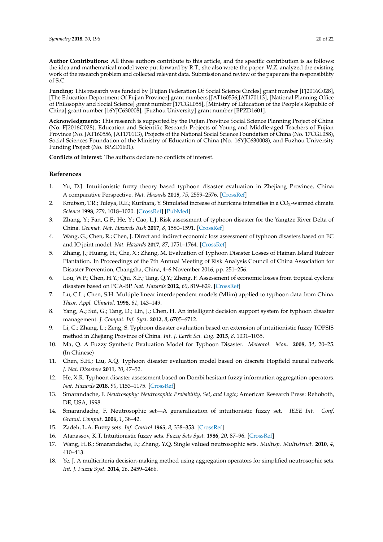**Author Contributions:** All three authors contribute to this article, and the specific contribution is as follows: the idea and mathematical model were put forward by R.T., she also wrote the paper. W.Z. analyzed the existing work of the research problem and collected relevant data. Submission and review of the paper are the responsibility of S.C.

**Funding:** This research was funded by [Fujian Federation Of Social Science Circles] grant number [FJ2016C028], [The Education Department Of Fujian Province] grant numbers [JAT160556,JAT170113], [National Planning Office of Philosophy and Social Science] grant number [17CGL058], [Ministry of Education of the People's Republic of China] grant number [16YJC630008], [Fuzhou University] grant number [BPZD1601].

**Acknowledgments:** This research is supported by the Fujian Province Social Science Planning Project of China (No. FJ2016C028), Education and Scientific Research Projects of Young and Middle-aged Teachers of Fujian Province (No. JAT160556, JAT170113), Projects of the National Social Science Foundation of China (No. 17CGL058), Social Sciences Foundation of the Ministry of Education of China (No. 16YJC630008), and Fuzhou University Funding Project (No. BPZD1601).

**Conflicts of Interest:** The authors declare no conflicts of interest.

#### **References**

- <span id="page-19-0"></span>1. Yu, D.J. Intuitionistic fuzzy theory based typhoon disaster evaluation in Zhejiang Province, China: A comparative Perspective. *Nat. Hazards* **2015**, *75*, 2559–2576. [\[CrossRef\]](http://dx.doi.org/10.1007/s11069-014-1450-7)
- <span id="page-19-1"></span>2. Knutson, T.R.; Tuleya, R.E.; Kurihara, Y. Simulated increase of hurricane intensities in a CO<sub>2</sub>-warmed climate. *Science* **1998**, *279*, 1018–1020. [\[CrossRef\]](http://dx.doi.org/10.1126/science.279.5353.1018) [\[PubMed\]](http://www.ncbi.nlm.nih.gov/pubmed/9461431)
- <span id="page-19-2"></span>3. Zhang, Y.; Fan, G.F.; He, Y.; Cao, L.J. Risk assessment of typhoon disaster for the Yangtze River Delta of China. *Geomat. Nat. Hazards Risk* **2017**, *8*, 1580–1591. [\[CrossRef\]](http://dx.doi.org/10.1080/19475705.2017.1362040)
- <span id="page-19-3"></span>4. Wang, G.; Chen, R.; Chen, J. Direct and indirect economic loss assessment of typhoon disasters based on EC and IO joint model. *Nat. Hazards* **2017**, *87*, 1751–1764. [\[CrossRef\]](http://dx.doi.org/10.1007/s11069-017-2846-y)
- <span id="page-19-4"></span>5. Zhang, J.; Huang, H.; Che, X.; Zhang, M. Evaluation of Typhoon Disaster Losses of Hainan Island Rubber Plantation. In Proceedings of the 7th Annual Meeting of Risk Analysis Council of China Association for Disaster Prevention, Changsha, China, 4–6 November 2016; pp. 251–256.
- <span id="page-19-5"></span>6. Lou, W.P.; Chen, H.Y.; Qiu, X.F.; Tang, Q.Y.; Zheng, F. Assessment of economic losses from tropical cyclone disasters based on PCA-BP. *Nat. Hazards* **2012**, *60*, 819–829. [\[CrossRef\]](http://dx.doi.org/10.1007/s11069-011-9881-x)
- <span id="page-19-6"></span>7. Lu, C.L.; Chen, S.H. Multiple linear interdependent models (Mlim) applied to typhoon data from China. *Theor. Appl. Climatol.* **1998**, *61*, 143–149.
- <span id="page-19-7"></span>8. Yang, A.; Sui, G.; Tang, D.; Lin, J.; Chen, H. An intelligent decision support system for typhoon disaster management. *J. Comput. Inf. Syst.* **2012**, *8*, 6705–6712.
- <span id="page-19-8"></span>9. Li, C.; Zhang, L.; Zeng, S. Typhoon disaster evaluation based on extension of intuitionistic fuzzy TOPSIS method in Zhejiang Province of China. *Int. J. Earth Sci. Eng.* **2015**, *8*, 1031–1035.
- <span id="page-19-9"></span>10. Ma, Q. A Fuzzy Synthetic Evaluation Model for Typhoon Disaster. *Meteorol. Mon.* **2008**, *34*, 20–25. (In Chinese)
- <span id="page-19-10"></span>11. Chen, S.H.; Liu, X.Q. Typhoon disaster evaluation model based on discrete Hopfield neural network. *J. Nat. Disasters* **2011**, *20*, 47–52.
- <span id="page-19-11"></span>12. He, X.R. Typhoon disaster assessment based on Dombi hesitant fuzzy information aggregation operators. *Nat. Hazards* **2018**, *90*, 1153–1175. [\[CrossRef\]](http://dx.doi.org/10.1007/s11069-017-3091-0)
- <span id="page-19-12"></span>13. Smarandache, F. *Neutrosophy: Neutrosophic Probability, Set, and Logic*; American Research Press: Rehoboth, DE, USA, 1998.
- <span id="page-19-13"></span>14. Smarandache, F. Neutrosophic set—A generalization of intuitionistic fuzzy set. *IEEE Int. Conf. Granul. Comput.* **2006**, *1*, 38–42.
- <span id="page-19-14"></span>15. Zadeh, L.A. Fuzzy sets. *Inf. Control* **1965**, *8*, 338–353. [\[CrossRef\]](http://dx.doi.org/10.1016/S0019-9958(65)90241-X)
- <span id="page-19-15"></span>16. Atanassov, K.T. Intuitionistic fuzzy sets. *Fuzzy Sets Syst.* **1986**, *20*, 87–96. [\[CrossRef\]](http://dx.doi.org/10.1016/S0165-0114(86)80034-3)
- <span id="page-19-16"></span>17. Wang, H.B.; Smarandache, F.; Zhang, Y.Q. Single valued neutrosophic sets. *Multisp. Multistruct.* **2010**, *4*, 410–413.
- <span id="page-19-17"></span>18. Ye, J. A multicriteria decision-making method using aggregation operators for simplified neutrosophic sets. *Int. J. Fuzzy Syst.* **2014**, *26*, 2459–2466.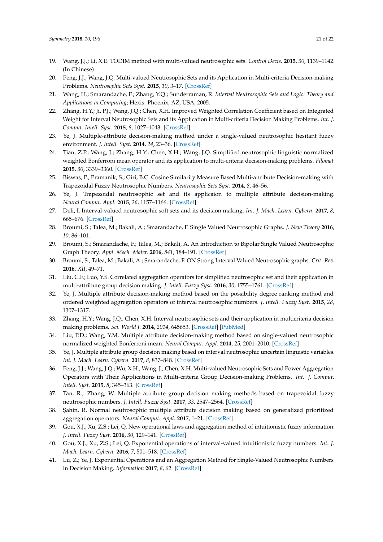- <span id="page-20-0"></span>19. Wang, J.J.; Li, X.E. TODIM method with multi-valued neutrosophic sets. *Control Decis.* **2015**, *30*, 1139–1142. (In Chinese)
- <span id="page-20-1"></span>20. Peng, J.J.; Wang, J.Q. Multi-valued Neutrosophic Sets and its Application in Multi-criteria Decision-making Problems. *Neutrosophic Sets Syst.* **2015**, *10*, 3–17. [\[CrossRef\]](http://dx.doi.org/10.1007/s00521-016-2702-0)
- <span id="page-20-2"></span>21. Wang, H.; Smarandache, F.; Zhang, Y.Q.; Sunderraman, R. *Interval Neutrosophic Sets and Logic: Theory and Applications in Computing*; Hexis: Phoenix, AZ, USA, 2005.
- <span id="page-20-3"></span>22. Zhang, H.Y.; Ji, P.J.; Wang, J.Q.; Chen, X.H. Improved Weighted Correlation Coefficient based on Integrated Weight for Interval Neutrosophic Sets and its Application in Multi-criteria Decision Making Problems. *Int. J. Comput. Intell. Syst.* **2015**, *8*, 1027–1043. [\[CrossRef\]](http://dx.doi.org/10.1080/18756891.2015.1099917)
- <span id="page-20-4"></span>23. Ye, J. Multiple-attribute decision-making method under a single-valued neutrosophic hesitant fuzzy environment. *J. Intell. Syst.* **2014**, *24*, 23–36. [\[CrossRef\]](http://dx.doi.org/10.1515/jisys-2014-0001)
- <span id="page-20-5"></span>24. Tian, Z.P.; Wang, J.; Zhang, H.Y.; Chen, X.H.; Wang, J.Q. Simplified neutrosophic linguistic normalized weighted Bonferroni mean operator and its application to multi-criteria decision-making problems. *Filomat* **2015**, *30*, 3339–3360. [\[CrossRef\]](http://dx.doi.org/10.2298/FIL1612339T)
- <span id="page-20-6"></span>25. Biswas, P.; Pramanik, S.; Giri, B.C. Cosine Similarity Measure Based Multi-attribute Decision-making with Trapezoidal Fuzzy Neutrosophic Numbers. *Neutrosophic Sets Syst.* **2014**, *8*, 46–56.
- <span id="page-20-7"></span>26. Ye, J. Trapezoidal neutrosophic set and its applicaion to multiple attribute decision-making. *Neural Comput. Appl.* **2015**, *26*, 1157–1166. [\[CrossRef\]](http://dx.doi.org/10.1007/s00521-014-1787-6)
- <span id="page-20-8"></span>27. Deli, I. Interval-valued neutrosophic soft sets and its decision making. *Int. J. Mach. Learn. Cybern.* **2017**, *8*, 665–676. [\[CrossRef\]](http://dx.doi.org/10.1007/s13042-015-0461-3)
- <span id="page-20-9"></span>28. Broumi, S.; Talea, M.; Bakali, A.; Smarandache, F. Single Valued Neutrosophic Graphs. *J. New Theory* **2016**, *10*, 86–101.
- 29. Broumi, S.; Smarandache, F.; Talea, M.; Bakali, A. An Introduction to Bipolar Single Valued Neutrosophic Graph Theory. *Appl. Mech. Mater.* **2016**, *841*, 184–191. [\[CrossRef\]](http://dx.doi.org/10.4028/www.scientific.net/AMM.841.184)
- <span id="page-20-10"></span>30. Broumi, S.; Talea, M.; Bakali, A.; Smarandache, F. ON Strong Interval Valued Neutrosophic graphs. *Crit. Rev.* **2016**, *XII*, 49–71.
- <span id="page-20-11"></span>31. Liu, C.F.; Luo, Y.S. Correlated aggregation operators for simplified neutrosophic set and their application in multi-attribute group decision making. *J. Intell. Fuzzy Syst.* **2016**, *30*, 1755–1761. [\[CrossRef\]](http://dx.doi.org/10.3233/IFS-151886)
- <span id="page-20-12"></span>32. Ye, J. Multiple attribute decision-making method based on the possibility degree ranking method and ordered weighted aggregation operators of interval neutrosophic numbers. *J. Intell. Fuzzy Syst.* **2015**, *28*, 1307–1317.
- <span id="page-20-13"></span>33. Zhang, H.Y.; Wang, J.Q.; Chen, X.H. Interval neutrosophic sets and their application in multicriteria decision making problems. *Sci. World J.* **2014**, *2014*, 645653. [\[CrossRef\]](http://dx.doi.org/10.1155/2014/645953) [\[PubMed\]](http://www.ncbi.nlm.nih.gov/pubmed/24695916)
- <span id="page-20-14"></span>34. Liu, P.D.; Wang, Y.M. Multiple attribute decision-making method based on single-valued neutrosophic normalized weighted Bonferroni mean. *Neural Comput. Appl.* **2014**, *25*, 2001–2010. [\[CrossRef\]](http://dx.doi.org/10.1007/s00521-014-1688-8)
- <span id="page-20-15"></span>35. Ye, J. Multiple attribute group decision making based on interval neutrosophic uncertain linguistic variables. *Int. J. Mach. Learn. Cybern.* **2017**, *8*, 837–848. [\[CrossRef\]](http://dx.doi.org/10.1007/s13042-015-0382-1)
- <span id="page-20-16"></span>36. Peng, J.J.; Wang, J.Q.; Wu, X.H.; Wang, J.; Chen, X.H. Multi-valued Neutrosophic Sets and Power Aggregation Operators with Their Applications in Multi-criteria Group Decision-making Problems. *Int. J. Comput. Intell. Syst.* **2015**, *8*, 345–363. [\[CrossRef\]](http://dx.doi.org/10.1080/18756891.2015.1001957)
- <span id="page-20-17"></span>37. Tan, R.; Zhang, W. Multiple attribute group decision making methods based on trapezoidal fuzzy neutrosophic numbers. *J. Intell. Fuzzy Syst.* **2017**, *33*, 2547–2564. [\[CrossRef\]](http://dx.doi.org/10.3233/JIFS-161984)
- <span id="page-20-18"></span>38. ¸Sahin, R. Normal neutrosophic multiple attribute decision making based on generalized prioritized aggregation operators. *Neural Comput. Appl.* **2017**, 1–21. [\[CrossRef\]](http://dx.doi.org/10.1007/s00521-017-2896-9)
- <span id="page-20-19"></span>39. Gou, X.J.; Xu, Z.S.; Lei, Q. New operational laws and aggregation method of intuitionistic fuzzy information. *J. Intell. Fuzzy Syst.* **2016**, *30*, 129–141. [\[CrossRef\]](http://dx.doi.org/10.3233/IFS-151739)
- <span id="page-20-20"></span>40. Gou, X.J.; Xu, Z.S.; Lei, Q. Exponential operations of interval-valued intuitionistic fuzzy numbers. *Int. J. Mach. Learn. Cybern.* **2016**, *7*, 501–518. [\[CrossRef\]](http://dx.doi.org/10.1007/s13042-015-0434-6)
- <span id="page-20-21"></span>41. Lu, Z.; Ye, J. Exponential Operations and an Aggregation Method for Single-Valued Neutrosophic Numbers in Decision Making. *Information* **2017**, *8*, 62. [\[CrossRef\]](http://dx.doi.org/10.3390/info8030084)